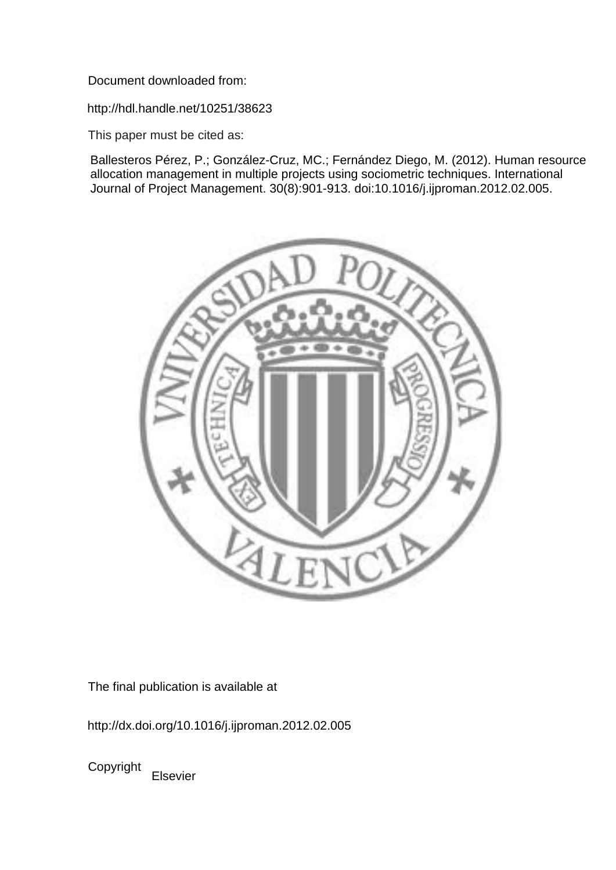Document downloaded from:

http://hdl.handle.net/10251/38623

This paper must be cited as:

Ballesteros Pérez, P.; González-Cruz, MC.; Fernández Diego, M. (2012). Human resource allocation management in multiple projects using sociometric techniques. International Journal of Project Management. 30(8):901-913. doi:10.1016/j.ijproman.2012.02.005.



The final publication is available at

http://dx.doi.org/10.1016/j.ijproman.2012.02.005

Copyright Elsevier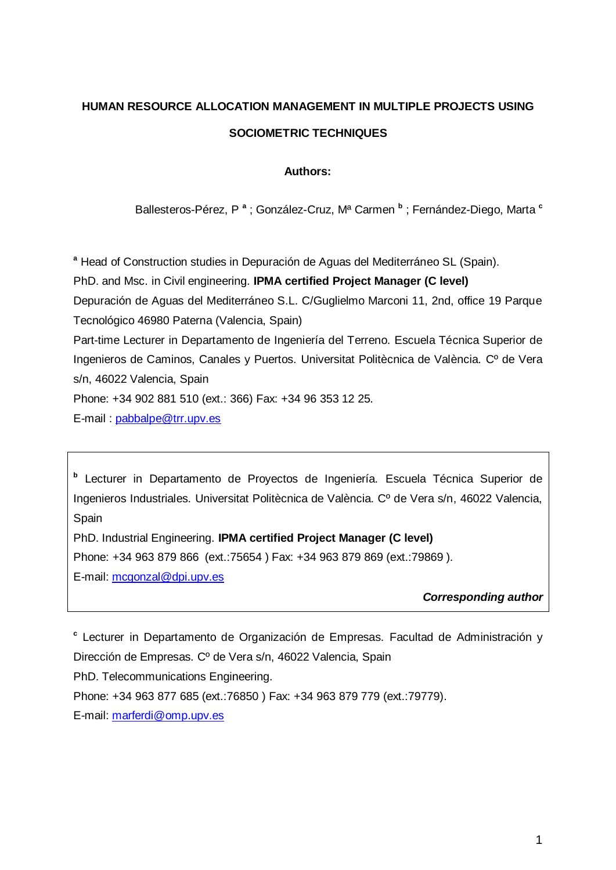# **HUMAN RESOURCE ALLOCATION MANAGEMENT IN MULTIPLE PROJECTS USING SOCIOMETRIC TECHNIQUES**

# **Authors:**

Ballesteros-Pérez, P **<sup>a</sup>** ; González-Cruz, Mª Carmen **<sup>b</sup>** ; Fernández-Diego, Marta **<sup>c</sup>**

**<sup>a</sup>** Head of Construction studies in Depuración de Aguas del Mediterráneo SL (Spain).

PhD. and Msc. in Civil engineering. **IPMA certified Project Manager (C level)**

Depuración de Aguas del Mediterráneo S.L. C/Guglielmo Marconi 11, 2nd, office 19 Parque Tecnológico 46980 Paterna (Valencia, Spain)

Part-time Lecturer in Departamento de Ingeniería del Terreno. Escuela Técnica Superior de Ingenieros de Caminos, Canales y Puertos. Universitat Politècnica de València. Cº de Vera s/n, 46022 Valencia, Spain

Phone: +34 902 881 510 (ext.: 366) Fax: +34 96 353 12 25.

E-mail : [pabbalpe@trr.upv.es](mailto:pabbalpe@trr.upv.es)

**b** Lecturer in Departamento de Proyectos de Ingeniería. Escuela Técnica Superior de Ingenieros Industriales. Universitat Politècnica de València. Cº de Vera s/n, 46022 Valencia, Spain

PhD. Industrial Engineering. **IPMA certified Project Manager (C level)**

Phone: +34 963 879 866 (ext.:75654 ) Fax: +34 963 879 869 (ext.:79869 ).

E-mail: [mcgonzal@dpi.upv.es](mailto:mcgonzal@dpi.upv.es)

*Corresponding author*

**c** Lecturer in Departamento de Organización de Empresas. Facultad de Administración y Dirección de Empresas. Cº de Vera s/n, 46022 Valencia, Spain

PhD. Telecommunications Engineering.

Phone: +34 963 877 685 (ext.:76850 ) Fax: +34 963 879 779 (ext.:79779).

E-mail: [marferdi@omp.upv.es](mailto:marferdi@omp.upv.es)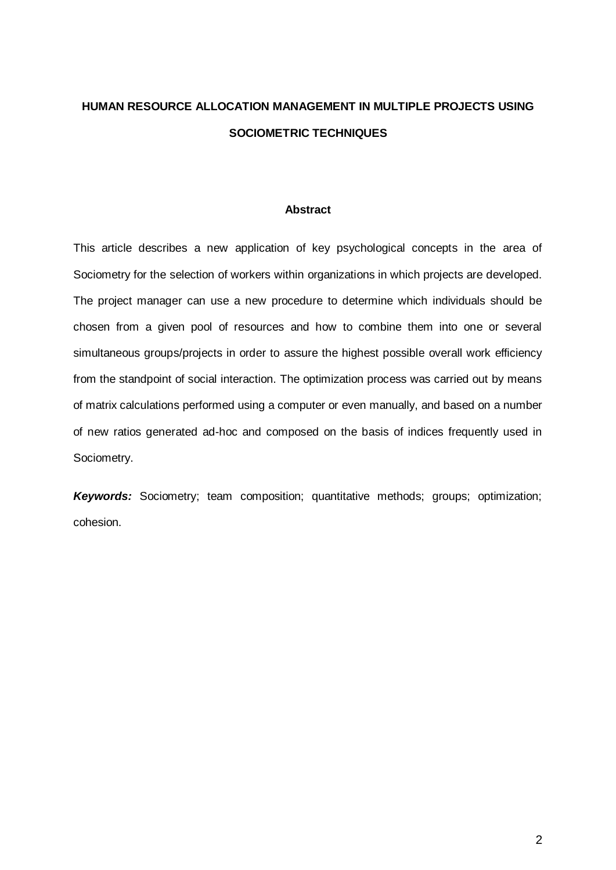# **HUMAN RESOURCE ALLOCATION MANAGEMENT IN MULTIPLE PROJECTS USING SOCIOMETRIC TECHNIQUES**

# **Abstract**

This article describes a new application of key psychological concepts in the area of Sociometry for the selection of workers within organizations in which projects are developed. The project manager can use a new procedure to determine which individuals should be chosen from a given pool of resources and how to combine them into one or several simultaneous groups/projects in order to assure the highest possible overall work efficiency from the standpoint of social interaction. The optimization process was carried out by means of matrix calculations performed using a computer or even manually, and based on a number of new ratios generated ad-hoc and composed on the basis of indices frequently used in Sociometry.

*Keywords:* Sociometry; team composition; quantitative methods; groups; optimization; cohesion.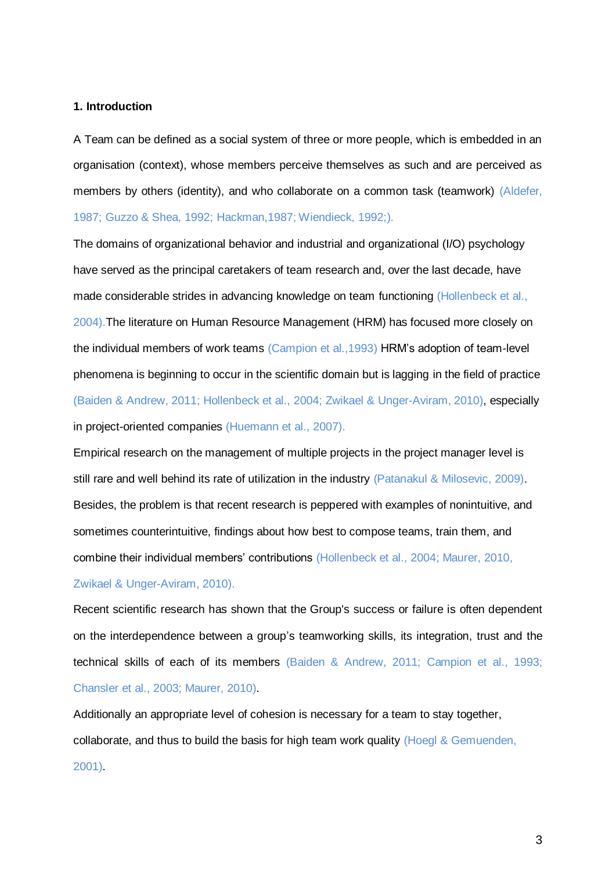### **1. Introduction**

A Team can be defined as a social system of three or more people, which is embedded in an organisation (context), whose members perceive themselves as such and are perceived as members by others (identity), and who collaborate on a common task (teamwork) (Aldefer, 1987; Guzzo & Shea, 1992; Hackman,1987; Wiendieck, 1992;).

The domains of organizational behavior and industrial and organizational (I/O) psychology have served as the principal caretakers of team research and, over the last decade, have made considerable strides in advancing knowledge on team functioning (Hollenbeck et al., 2004).The literature on Human Resource Management (HRM) has focused more closely on the individual members of work teams (Campion et al.,1993) HRM's adoption of team-level phenomena is beginning to occur in the scientific domain but is lagging in the field of practice (Baiden & Andrew, 2011; Hollenbeck et al., 2004; Zwikael & Unger-Aviram, 2010), especially in project-oriented companies (Huemann et al., 2007).

Empirical research on the management of multiple projects in the project manager level is still rare and well behind its rate of utilization in the industry (Patanakul & Milosevic, 2009). Besides, the problem is that recent research is peppered with examples of nonintuitive, and sometimes counterintuitive, findings about how best to compose teams, train them, and combine their individual members' contributions (Hollenbeck et al., 2004; Maurer, 2010, Zwikael & Unger-Aviram, 2010).

Recent scientific research has shown that the Group's success or failure is often dependent on the interdependence between a group's teamworking skills, its integration, trust and the technical skills of each of its members (Baiden & Andrew, 2011; Campion et al., 1993; Chansler et al., 2003; Maurer, 2010).

Additionally an appropriate level of cohesion is necessary for a team to stay together, collaborate, and thus to build the basis for high team work quality (Hoegl & Gemuenden, 2001).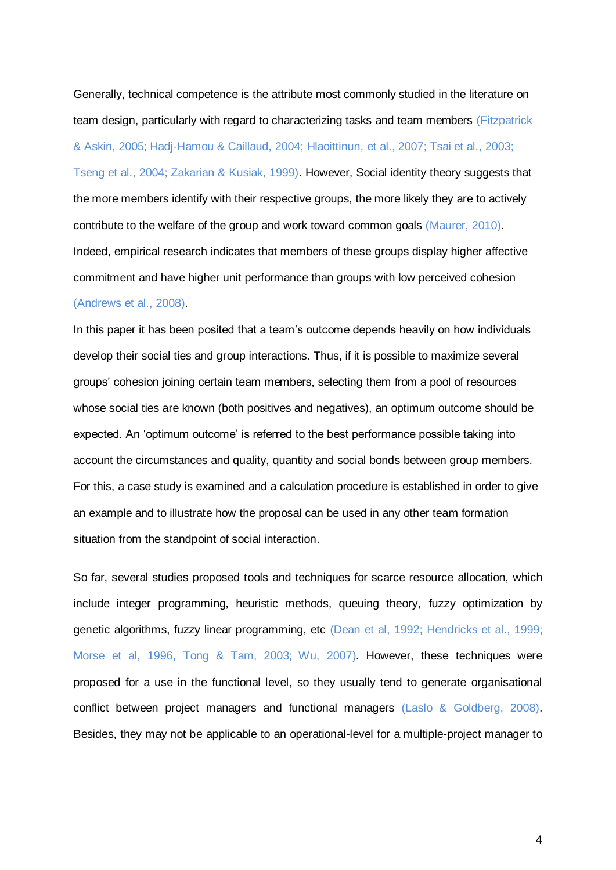Generally, technical competence is the attribute most commonly studied in the literature on team design, particularly with regard to characterizing tasks and team members (Fitzpatrick & Askin, 2005; Hadj-Hamou & Caillaud, 2004; Hlaoittinun, et al., 2007; Tsai et al., 2003; Tseng et al., 2004; Zakarian & Kusiak, 1999). However, Social identity theory suggests that the more members identify with their respective groups, the more likely they are to actively contribute to the welfare of the group and work toward common goals (Maurer, 2010). Indeed, empirical research indicates that members of these groups display higher affective commitment and have higher unit performance than groups with low perceived cohesion (Andrews et al., 2008).

In this paper it has been posited that a team's outcome depends heavily on how individuals develop their social ties and group interactions. Thus, if it is possible to maximize several groups' cohesion joining certain team members, selecting them from a pool of resources whose social ties are known (both positives and negatives), an optimum outcome should be expected. An 'optimum outcome' is referred to the best performance possible taking into account the circumstances and quality, quantity and social bonds between group members. For this, a case study is examined and a calculation procedure is established in order to give an example and to illustrate how the proposal can be used in any other team formation situation from the standpoint of social interaction.

So far, several studies proposed tools and techniques for scarce resource allocation, which include integer programming, heuristic methods, queuing theory, fuzzy optimization by genetic algorithms, fuzzy linear programming, etc (Dean et al, 1992; Hendricks et al., 1999; Morse et al, 1996, Tong & Tam, 2003; Wu, 2007). However, these techniques were proposed for a use in the functional level, so they usually tend to generate organisational conflict between project managers and functional managers (Laslo & Goldberg, 2008). Besides, they may not be applicable to an operational-level for a multiple-project manager to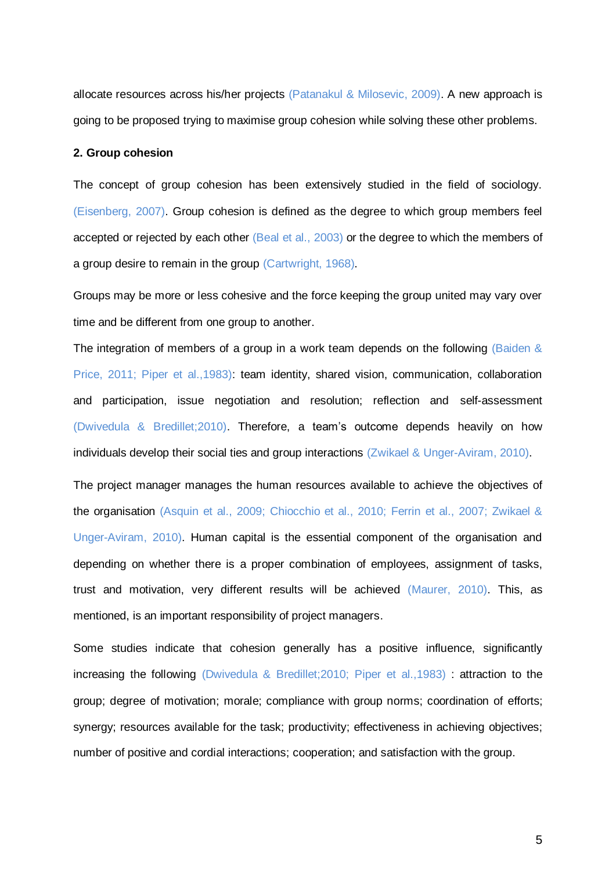allocate resources across his/her projects (Patanakul & Milosevic, 2009). A new approach is going to be proposed trying to maximise group cohesion while solving these other problems.

# **2. Group cohesion**

The concept of group cohesion has been extensively studied in the field of sociology. (Eisenberg, 2007). Group cohesion is defined as the degree to which group members feel accepted or rejected by each other (Beal et al., 2003) or the degree to which the members of a group desire to remain in the group (Cartwright, 1968).

Groups may be more or less cohesive and the force keeping the group united may vary over time and be different from one group to another.

The integration of members of a group in a work team depends on the following (Baiden & Price, 2011; Piper et al.,1983): team identity, shared vision, communication, collaboration and participation, issue negotiation and resolution; reflection and self-assessment (Dwivedula & Bredillet;2010). Therefore, a team's outcome depends heavily on how individuals develop their social ties and group interactions (Zwikael & Unger-Aviram, 2010).

The project manager manages the human resources available to achieve the objectives of the organisation (Asquin et al., 2009; Chiocchio et al., 2010; Ferrin et al., 2007; Zwikael & Unger-Aviram, 2010). Human capital is the essential component of the organisation and depending on whether there is a proper combination of employees, assignment of tasks, trust and motivation, very different results will be achieved (Maurer, 2010). This, as mentioned, is an important responsibility of project managers.

Some studies indicate that cohesion generally has a positive influence, significantly increasing the following (Dwivedula & Bredillet;2010; Piper et al.,1983) : attraction to the group; degree of motivation; morale; compliance with group norms; coordination of efforts; synergy; resources available for the task; productivity; effectiveness in achieving objectives; number of positive and cordial interactions; cooperation; and satisfaction with the group.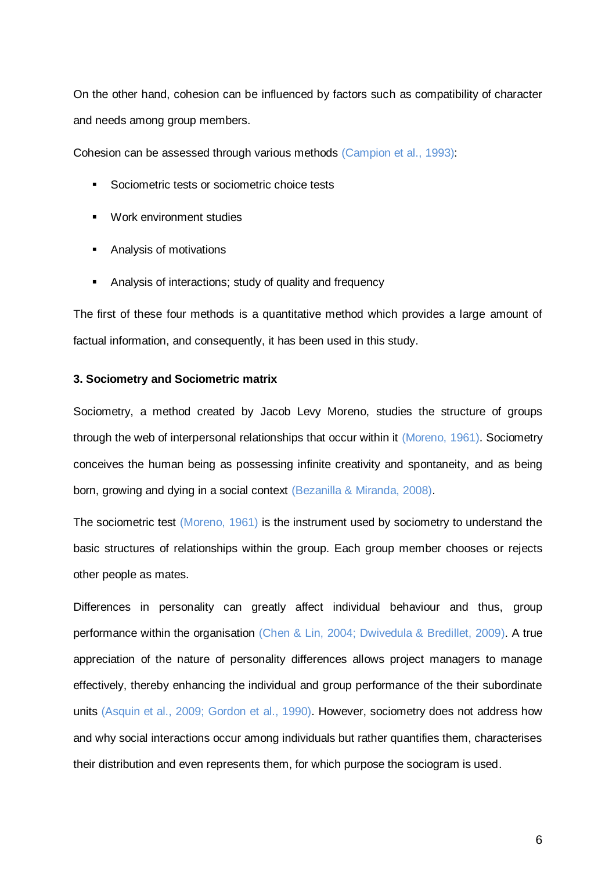On the other hand, cohesion can be influenced by factors such as compatibility of character and needs among group members.

Cohesion can be assessed through various methods (Campion et al., 1993):

- Sociometric tests or sociometric choice tests
- **Work environment studies**
- **Analysis of motivations**
- Analysis of interactions; study of quality and frequency

The first of these four methods is a quantitative method which provides a large amount of factual information, and consequently, it has been used in this study.

## **3. Sociometry and Sociometric matrix**

Sociometry, a method created by Jacob Levy Moreno, studies the structure of groups through the web of interpersonal relationships that occur within it (Moreno, 1961). Sociometry conceives the human being as possessing infinite creativity and spontaneity, and as being born, growing and dying in a social context (Bezanilla & Miranda, 2008).

The sociometric test (Moreno, 1961) is the instrument used by sociometry to understand the basic structures of relationships within the group. Each group member chooses or rejects other people as mates.

Differences in personality can greatly affect individual behaviour and thus, group performance within the organisation (Chen & Lin, 2004; Dwivedula & Bredillet, 2009). A true appreciation of the nature of personality differences allows project managers to manage effectively, thereby enhancing the individual and group performance of the their subordinate units (Asquin et al., 2009; Gordon et al., 1990). However, sociometry does not address how and why social interactions occur among individuals but rather quantifies them, characterises their distribution and even represents them, for which purpose the sociogram is used.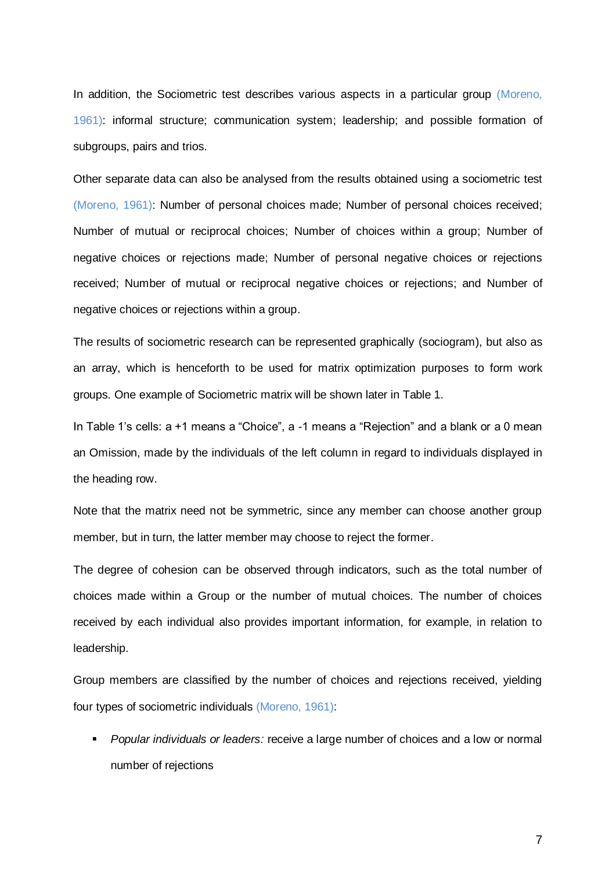In addition, the Sociometric test describes various aspects in a particular group (Moreno, 1961): informal structure; communication system; leadership; and possible formation of subgroups, pairs and trios.

Other separate data can also be analysed from the results obtained using a sociometric test (Moreno, 1961): Number of personal choices made; Number of personal choices received; Number of mutual or reciprocal choices; Number of choices within a group; Number of negative choices or rejections made; Number of personal negative choices or rejections received; Number of mutual or reciprocal negative choices or rejections; and Number of negative choices or rejections within a group.

The results of sociometric research can be represented graphically (sociogram), but also as an array, which is henceforth to be used for matrix optimization purposes to form work groups. One example of Sociometric matrix will be shown later in Table 1.

In Table 1's cells: a +1 means a "Choice", a -1 means a "Rejection" and a blank or a 0 mean an Omission, made by the individuals of the left column in regard to individuals displayed in the heading row.

Note that the matrix need not be symmetric, since any member can choose another group member, but in turn, the latter member may choose to reject the former.

The degree of cohesion can be observed through indicators, such as the total number of choices made within a Group or the number of mutual choices. The number of choices received by each individual also provides important information, for example, in relation to leadership.

Group members are classified by the number of choices and rejections received, yielding four types of sociometric individuals (Moreno, 1961):

 *Popular individuals or leaders:* receive a large number of choices and a low or normal number of rejections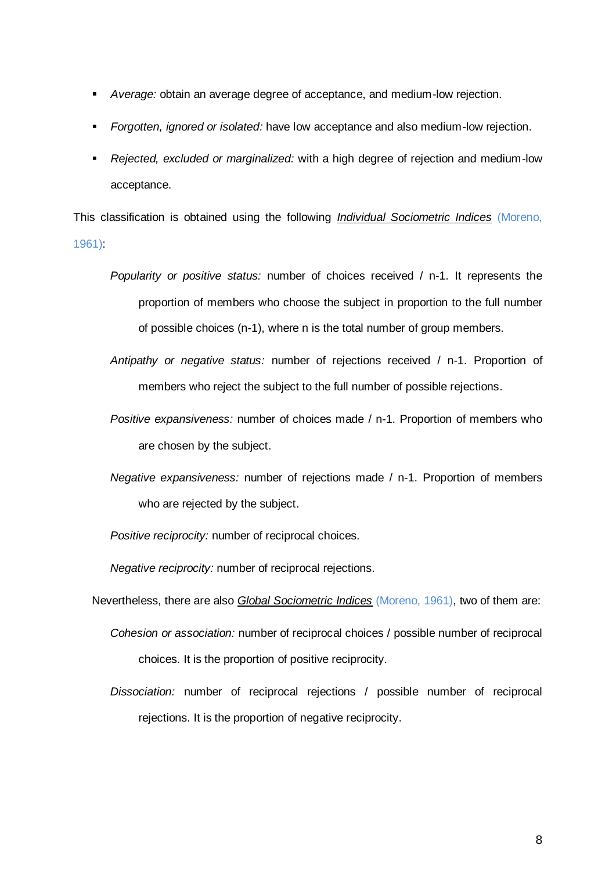- *Average:* obtain an average degree of acceptance, and medium-low rejection.
- *Forgotten, ignored or isolated:* have low acceptance and also medium-low rejection.
- *Rejected, excluded or marginalized:* with a high degree of rejection and medium-low acceptance.

This classification is obtained using the following *Individual Sociometric Indices* (Moreno, 1961):

- *Popularity or positive status:* number of choices received / n-1. It represents the proportion of members who choose the subject in proportion to the full number of possible choices (n-1), where n is the total number of group members.
- *Antipathy or negative status:* number of rejections received / n-1. Proportion of members who reject the subject to the full number of possible rejections.
- *Positive expansiveness:* number of choices made / n-1. Proportion of members who are chosen by the subject.
- *Negative expansiveness:* number of rejections made / n-1. Proportion of members who are rejected by the subject.
- *Positive reciprocity:* number of reciprocal choices.

*Negative reciprocity:* number of reciprocal rejections.

- Nevertheless, there are also *Global Sociometric Indices* (Moreno, 1961), two of them are:
	- *Cohesion or association:* number of reciprocal choices / possible number of reciprocal choices. It is the proportion of positive reciprocity.
	- *Dissociation:* number of reciprocal rejections / possible number of reciprocal rejections. It is the proportion of negative reciprocity.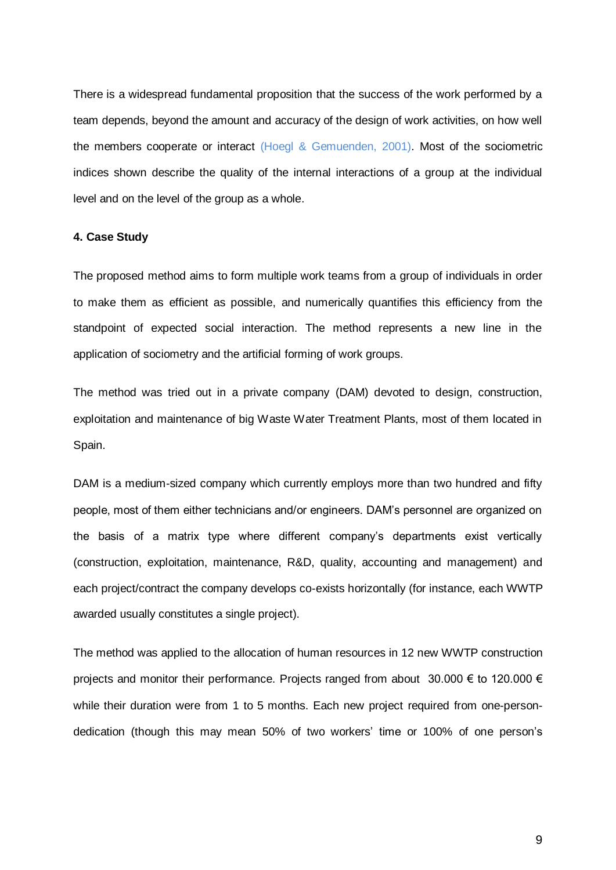There is a widespread fundamental proposition that the success of the work performed by a team depends, beyond the amount and accuracy of the design of work activities, on how well the members cooperate or interact (Hoegl & Gemuenden, 2001). Most of the sociometric indices shown describe the quality of the internal interactions of a group at the individual level and on the level of the group as a whole.

# **4. Case Study**

The proposed method aims to form multiple work teams from a group of individuals in order to make them as efficient as possible, and numerically quantifies this efficiency from the standpoint of expected social interaction. The method represents a new line in the application of sociometry and the artificial forming of work groups.

The method was tried out in a private company (DAM) devoted to design, construction, exploitation and maintenance of big Waste Water Treatment Plants, most of them located in Spain.

DAM is a medium-sized company which currently employs more than two hundred and fifty people, most of them either technicians and/or engineers. DAM's personnel are organized on the basis of a matrix type where different company's departments exist vertically (construction, exploitation, maintenance, R&D, quality, accounting and management) and each project/contract the company develops co-exists horizontally (for instance, each WWTP awarded usually constitutes a single project).

The method was applied to the allocation of human resources in 12 new WWTP construction projects and monitor their performance. Projects ranged from about 30.000 € to 120.000 € while their duration were from 1 to 5 months. Each new project required from one-persondedication (though this may mean 50% of two workers' time or 100% of one person's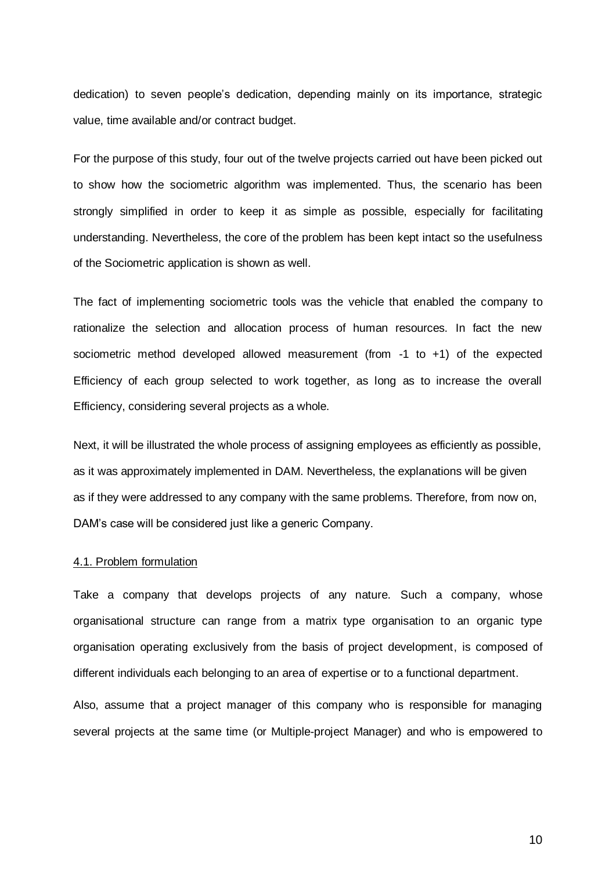dedication) to seven people's dedication, depending mainly on its importance, strategic value, time available and/or contract budget.

For the purpose of this study, four out of the twelve projects carried out have been picked out to show how the sociometric algorithm was implemented. Thus, the scenario has been strongly simplified in order to keep it as simple as possible, especially for facilitating understanding. Nevertheless, the core of the problem has been kept intact so the usefulness of the Sociometric application is shown as well.

The fact of implementing sociometric tools was the vehicle that enabled the company to rationalize the selection and allocation process of human resources. In fact the new sociometric method developed allowed measurement (from -1 to +1) of the expected Efficiency of each group selected to work together, as long as to increase the overall Efficiency, considering several projects as a whole.

Next, it will be illustrated the whole process of assigning employees as efficiently as possible, as it was approximately implemented in DAM. Nevertheless, the explanations will be given as if they were addressed to any company with the same problems. Therefore, from now on, DAM's case will be considered just like a generic Company.

#### 4.1. Problem formulation

Take a company that develops projects of any nature. Such a company, whose organisational structure can range from a matrix type organisation to an organic type organisation operating exclusively from the basis of project development, is composed of different individuals each belonging to an area of expertise or to a functional department.

Also, assume that a project manager of this company who is responsible for managing several projects at the same time (or Multiple-project Manager) and who is empowered to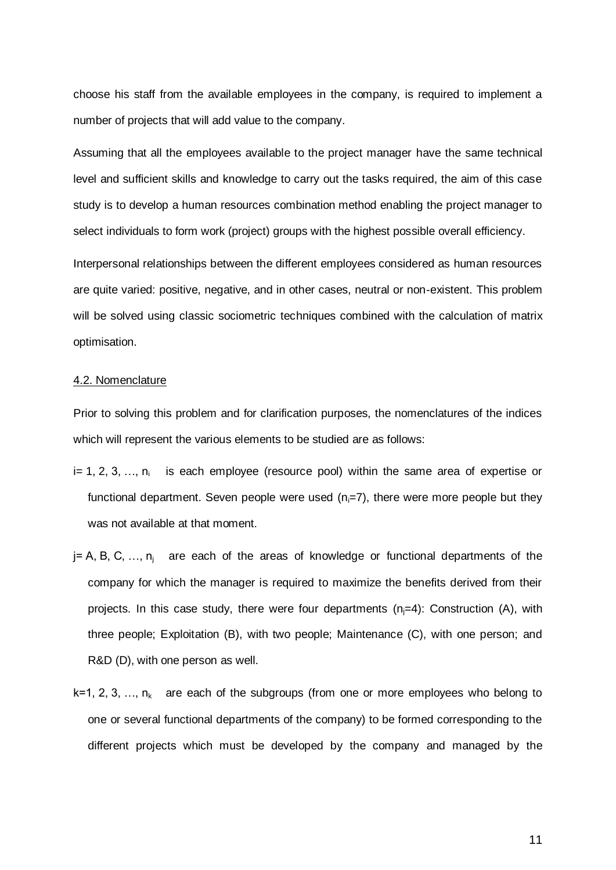choose his staff from the available employees in the company, is required to implement a number of projects that will add value to the company.

Assuming that all the employees available to the project manager have the same technical level and sufficient skills and knowledge to carry out the tasks required, the aim of this case study is to develop a human resources combination method enabling the project manager to select individuals to form work (project) groups with the highest possible overall efficiency.

Interpersonal relationships between the different employees considered as human resources are quite varied: positive, negative, and in other cases, neutral or non-existent. This problem will be solved using classic sociometric techniques combined with the calculation of matrix optimisation.

### 4.2. Nomenclature

Prior to solving this problem and for clarification purposes, the nomenclatures of the indices which will represent the various elements to be studied are as follows:

- i= 1, 2, 3, ..., n<sub>i</sub> is each employee (resource pool) within the same area of expertise or functional department. Seven people were used  $(n_i=7)$ , there were more people but they was not available at that moment.
- $j = A$ , B, C, ...,  $n_i$  are each of the areas of knowledge or functional departments of the company for which the manager is required to maximize the benefits derived from their projects. In this case study, there were four departments  $(n_i=4)$ : Construction (A), with three people; Exploitation (B), with two people; Maintenance (C), with one person; and R&D (D), with one person as well.
- $k=1, 2, 3, \ldots, n_k$  are each of the subgroups (from one or more employees who belong to one or several functional departments of the company) to be formed corresponding to the different projects which must be developed by the company and managed by the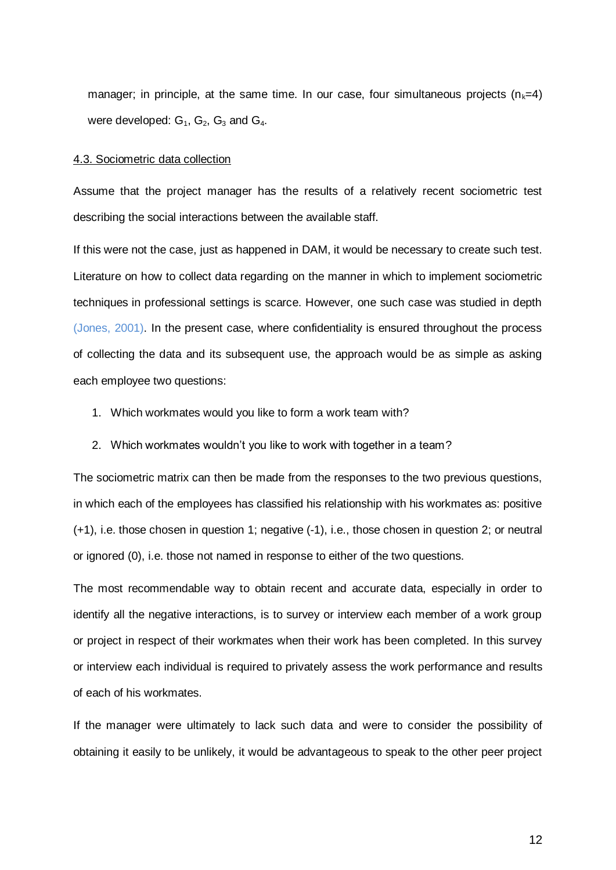manager; in principle, at the same time. In our case, four simultaneous projects ( $n_k=4$ ) were developed:  $G_1$ ,  $G_2$ ,  $G_3$  and  $G_4$ .

#### 4.3. Sociometric data collection

Assume that the project manager has the results of a relatively recent sociometric test describing the social interactions between the available staff.

If this were not the case, just as happened in DAM, it would be necessary to create such test. Literature on how to collect data regarding on the manner in which to implement sociometric techniques in professional settings is scarce. However, one such case was studied in depth (Jones, 2001). In the present case, where confidentiality is ensured throughout the process of collecting the data and its subsequent use, the approach would be as simple as asking each employee two questions:

- 1. Which workmates would you like to form a work team with?
- 2. Which workmates wouldn't you like to work with together in a team?

The sociometric matrix can then be made from the responses to the two previous questions, in which each of the employees has classified his relationship with his workmates as: positive (+1), i.e. those chosen in question 1; negative (-1), i.e., those chosen in question 2; or neutral or ignored (0), i.e. those not named in response to either of the two questions.

The most recommendable way to obtain recent and accurate data, especially in order to identify all the negative interactions, is to survey or interview each member of a work group or project in respect of their workmates when their work has been completed. In this survey or interview each individual is required to privately assess the work performance and results of each of his workmates.

If the manager were ultimately to lack such data and were to consider the possibility of obtaining it easily to be unlikely, it would be advantageous to speak to the other peer project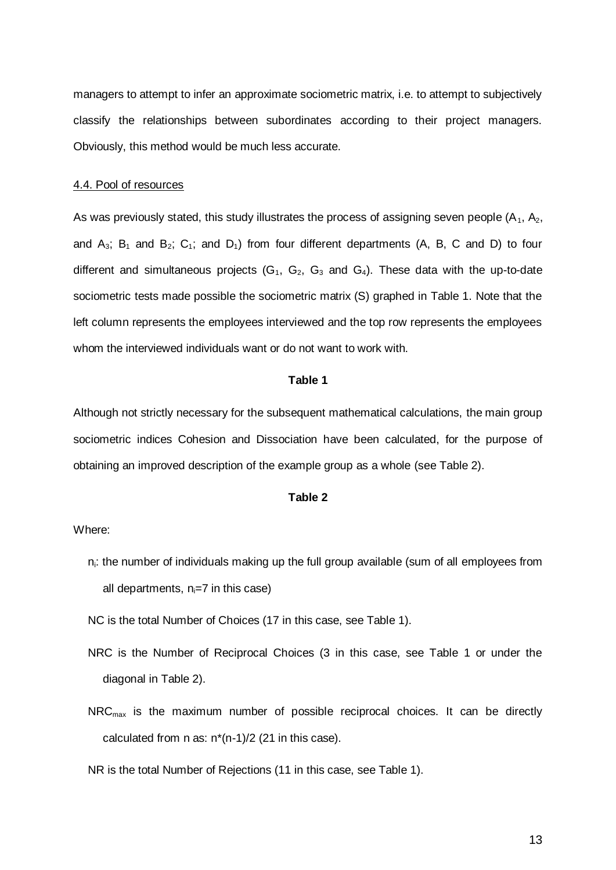managers to attempt to infer an approximate sociometric matrix, i.e. to attempt to subjectively classify the relationships between subordinates according to their project managers. Obviously, this method would be much less accurate.

#### 4.4. Pool of resources

As was previously stated, this study illustrates the process of assigning seven people  $(A_1, A_2, A_3)$ and  $A_3$ ;  $B_1$  and  $B_2$ ;  $C_1$ ; and  $D_1$ ) from four different departments (A, B, C and D) to four different and simultaneous projects  $(G_1, G_2, G_3$  and  $G_4$ ). These data with the up-to-date sociometric tests made possible the sociometric matrix (S) graphed in Table 1. Note that the left column represents the employees interviewed and the top row represents the employees whom the interviewed individuals want or do not want to work with.

### **Table 1**

Although not strictly necessary for the subsequent mathematical calculations, the main group sociometric indices Cohesion and Dissociation have been calculated, for the purpose of obtaining an improved description of the example group as a whole (see Table 2).

#### **Table 2**

#### Where:

- $n_i$ : the number of individuals making up the full group available (sum of all employees from all departments,  $n_i=7$  in this case)
- NC is the total Number of Choices (17 in this case, see Table 1).
- NRC is the Number of Reciprocal Choices (3 in this case, see Table 1 or under the diagonal in Table 2).
- $NRC<sub>max</sub>$  is the maximum number of possible reciprocal choices. It can be directly calculated from n as:  $n*(n-1)/2$  (21 in this case).

NR is the total Number of Rejections (11 in this case, see Table 1).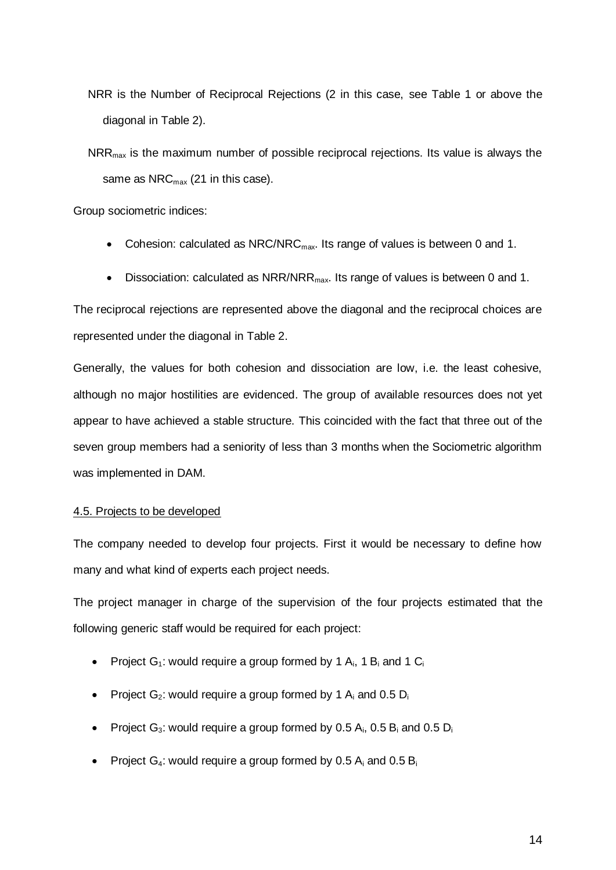- NRR is the Number of Reciprocal Rejections (2 in this case, see Table 1 or above the diagonal in Table 2).
- $NRR<sub>max</sub>$  is the maximum number of possible reciprocal rejections. Its value is always the same as  $NRC<sub>max</sub>$  (21 in this case).

Group sociometric indices:

- Cohesion: calculated as NRC/NRC $_{\text{max}}$ . Its range of values is between 0 and 1.
- Dissociation: calculated as NRR/NRR<sub>max</sub>. Its range of values is between 0 and 1.

The reciprocal rejections are represented above the diagonal and the reciprocal choices are represented under the diagonal in Table 2.

Generally, the values for both cohesion and dissociation are low, i.e. the least cohesive, although no major hostilities are evidenced. The group of available resources does not yet appear to have achieved a stable structure. This coincided with the fact that three out of the seven group members had a seniority of less than 3 months when the Sociometric algorithm was implemented in DAM.

# 4.5. Projects to be developed

The company needed to develop four projects. First it would be necessary to define how many and what kind of experts each project needs.

The project manager in charge of the supervision of the four projects estimated that the following generic staff would be required for each project:

- Project  $G_1$ : would require a group formed by 1  $A_i$ , 1  $B_i$  and 1  $C_i$
- Project  $G_2$ : would require a group formed by 1  $A_i$  and 0.5  $D_i$
- Project  $G_3$ : would require a group formed by 0.5  $A_i$ , 0.5  $B_i$  and 0.5  $D_i$
- Project  $G_4$ : would require a group formed by 0.5  $A_i$  and 0.5  $B_i$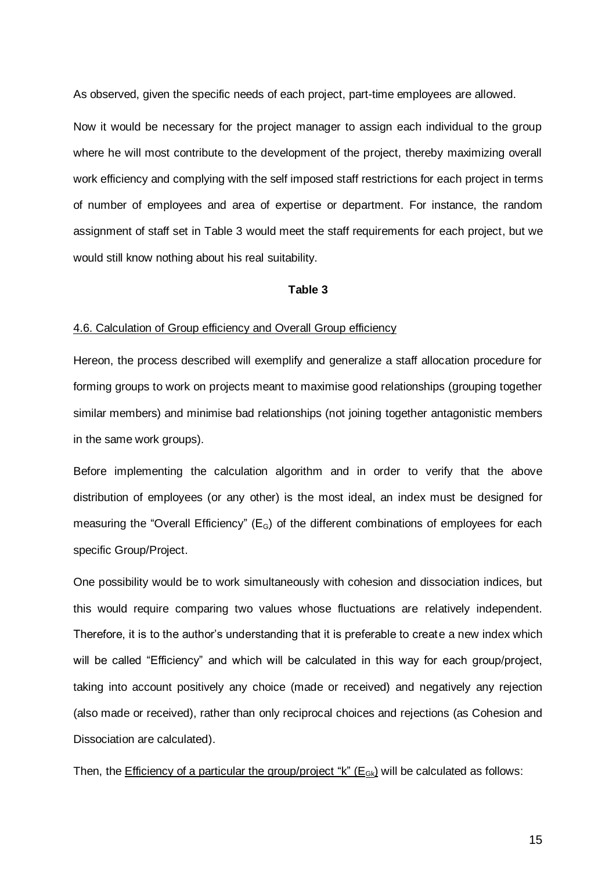As observed, given the specific needs of each project, part-time employees are allowed.

Now it would be necessary for the project manager to assign each individual to the group where he will most contribute to the development of the project, thereby maximizing overall work efficiency and complying with the self imposed staff restrictions for each project in terms of number of employees and area of expertise or department. For instance, the random assignment of staff set in Table 3 would meet the staff requirements for each project, but we would still know nothing about his real suitability.

# **Table 3**

#### 4.6. Calculation of Group efficiency and Overall Group efficiency

Hereon, the process described will exemplify and generalize a staff allocation procedure for forming groups to work on projects meant to maximise good relationships (grouping together similar members) and minimise bad relationships (not joining together antagonistic members in the same work groups).

Before implementing the calculation algorithm and in order to verify that the above distribution of employees (or any other) is the most ideal, an index must be designed for measuring the "Overall Efficiency" ( $E<sub>G</sub>$ ) of the different combinations of employees for each specific Group/Project.

One possibility would be to work simultaneously with cohesion and dissociation indices, but this would require comparing two values whose fluctuations are relatively independent. Therefore, it is to the author's understanding that it is preferable to create a new index which will be called "Efficiency" and which will be calculated in this way for each group/project, taking into account positively any choice (made or received) and negatively any rejection (also made or received), rather than only reciprocal choices and rejections (as Cohesion and Dissociation are calculated).

Then, the *Efficiency of a particular the group/project "k"* ( $E_{Gk}$ ) will be calculated as follows: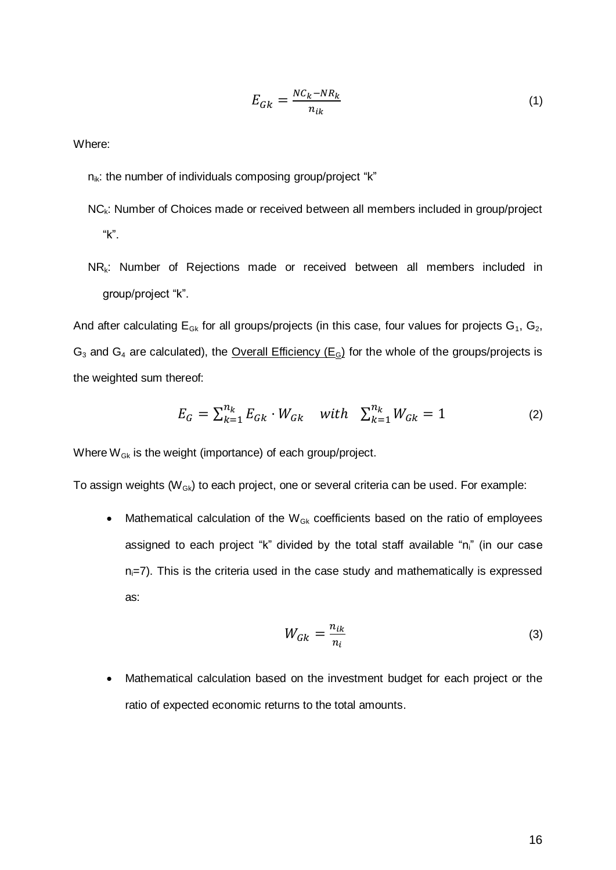$$
E_{Gk} = \frac{NC_k - NR_k}{n_{ik}}\tag{1}
$$

Where:

 $n_{ik}$ : the number of individuals composing group/project "k"

- NC<sub>k</sub>: Number of Choices made or received between all members included in group/project "k".
- $NR_k$ : Number of Rejections made or received between all members included in group/project "k".

And after calculating  $E_{Gk}$  for all groups/projects (in this case, four values for projects  $G_1$ ,  $G_2$ ,  $G_3$  and  $G_4$  are calculated), the Overall Efficiency ( $E_6$ ) for the whole of the groups/projects is the weighted sum thereof:

$$
E_G = \sum_{k=1}^{n_k} E_{Gk} \cdot W_{Gk} \quad with \quad \sum_{k=1}^{n_k} W_{Gk} = 1 \tag{2}
$$

Where  $W_{Gk}$  is the weight (importance) of each group/project.

To assign weights  $(W_{Gk})$  to each project, one or several criteria can be used. For example:

• Mathematical calculation of the  $W_{Gk}$  coefficients based on the ratio of employees assigned to each project "k" divided by the total staff available "n<sub>i</sub>" (in our case  $n_i$ =7). This is the criteria used in the case study and mathematically is expressed as:

$$
W_{Gk} = \frac{n_{ik}}{n_i} \tag{3}
$$

 Mathematical calculation based on the investment budget for each project or the ratio of expected economic returns to the total amounts.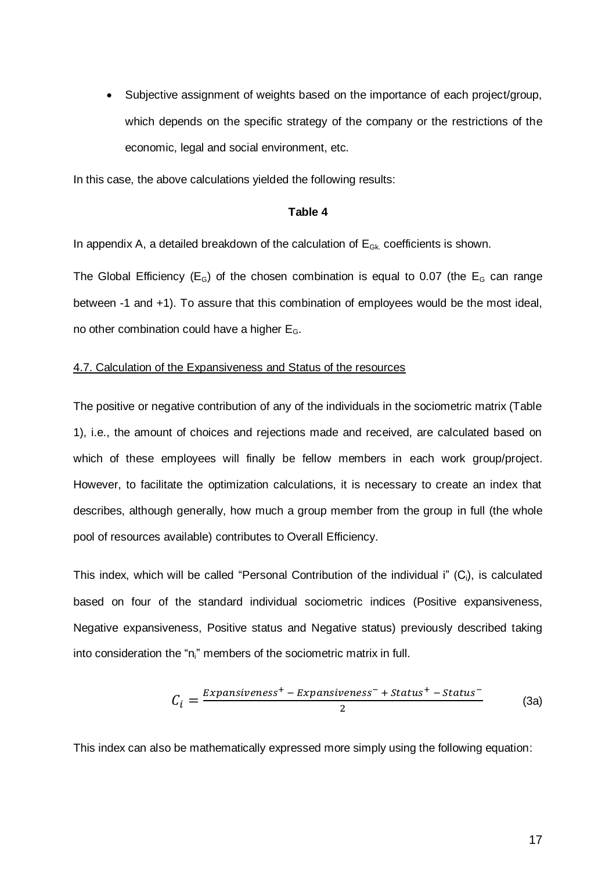Subjective assignment of weights based on the importance of each project/group, which depends on the specific strategy of the company or the restrictions of the economic, legal and social environment, etc.

In this case, the above calculations yielded the following results:

# **Table 4**

In appendix A, a detailed breakdown of the calculation of  $E_{Gk}$  coefficients is shown.

The Global Efficiency ( $E_G$ ) of the chosen combination is equal to 0.07 (the  $E_G$  can range between -1 and +1). To assure that this combination of employees would be the most ideal, no other combination could have a higher  $E_G$ .

### 4.7. Calculation of the Expansiveness and Status of the resources

The positive or negative contribution of any of the individuals in the sociometric matrix (Table 1), i.e., the amount of choices and rejections made and received, are calculated based on which of these employees will finally be fellow members in each work group/project. However, to facilitate the optimization calculations, it is necessary to create an index that describes, although generally, how much a group member from the group in full (the whole pool of resources available) contributes to Overall Efficiency.

This index, which will be called "Personal Contribution of the individual i"  $(C_i)$ , is calculated based on four of the standard individual sociometric indices (Positive expansiveness, Negative expansiveness, Positive status and Negative status) previously described taking into consideration the "n<sub>i</sub>" members of the sociometric matrix in full.

$$
C_i = \frac{Expansiveness^+ - Expansiveness^- + Status^+ - Status^-}{2}
$$
 (3a)

This index can also be mathematically expressed more simply using the following equation: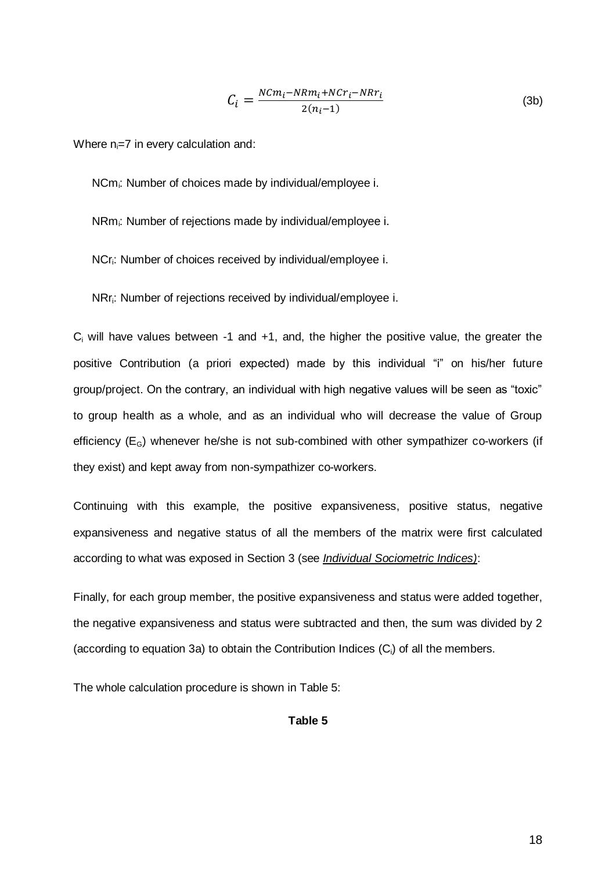$$
C_i = \frac{N C m_i - N R m_i + N C r_i - N R r_i}{2(n_i - 1)}
$$
(3b)

Where  $n_i=7$  in every calculation and:

NCm<sub>i</sub>: Number of choices made by individual/employee i.

NRmi: Number of rejections made by individual/employee i.

NCr<sub>i</sub>: Number of choices received by individual/employee i.

NRri: Number of rejections received by individual/employee i.

 $C_i$  will have values between -1 and +1, and, the higher the positive value, the greater the positive Contribution (a priori expected) made by this individual "i" on his/her future group/project. On the contrary, an individual with high negative values will be seen as "toxic" to group health as a whole, and as an individual who will decrease the value of Group efficiency  $(E_G)$  whenever he/she is not sub-combined with other sympathizer co-workers (if they exist) and kept away from non-sympathizer co-workers.

Continuing with this example, the positive expansiveness, positive status, negative expansiveness and negative status of all the members of the matrix were first calculated according to what was exposed in Section 3 (see *Individual Sociometric Indices)*:

Finally, for each group member, the positive expansiveness and status were added together, the negative expansiveness and status were subtracted and then, the sum was divided by 2 (according to equation 3a) to obtain the Contribution Indices  $(C_i)$  of all the members.

The whole calculation procedure is shown in Table 5:

# **Table 5**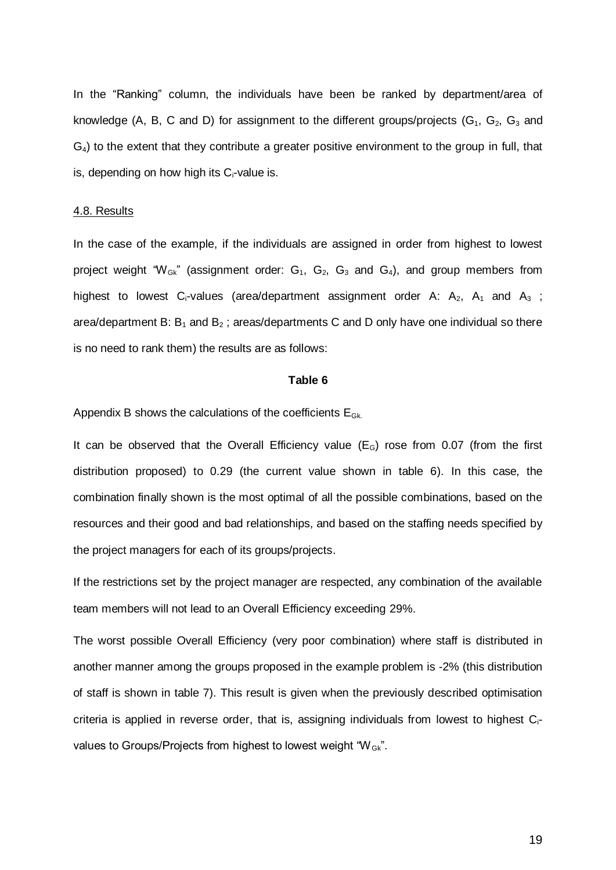In the "Ranking" column, the individuals have been be ranked by department/area of knowledge (A, B, C and D) for assignment to the different groups/projects ( $G_1$ ,  $G_2$ ,  $G_3$  and  $G_4$ ) to the extent that they contribute a greater positive environment to the group in full, that is, depending on how high its  $C_i$ -value is.

## 4.8. Results

In the case of the example, if the individuals are assigned in order from highest to lowest project weight " $W_{Gk}$ " (assignment order:  $G_1$ ,  $G_2$ ,  $G_3$  and  $G_4$ ), and group members from highest to lowest C<sub>i</sub>-values (area/department assignment order A:  $A_2$ ,  $A_1$  and  $A_3$ ; area/department B:  $B_1$  and  $B_2$ ; areas/departments C and D only have one individual so there is no need to rank them) the results are as follows:

### **Table 6**

Appendix B shows the calculations of the coefficients  $E_{Gk}$ .

It can be observed that the Overall Efficiency value  $(E_G)$  rose from 0.07 (from the first distribution proposed) to 0.29 (the current value shown in table 6). In this case, the combination finally shown is the most optimal of all the possible combinations, based on the resources and their good and bad relationships, and based on the staffing needs specified by the project managers for each of its groups/projects.

If the restrictions set by the project manager are respected, any combination of the available team members will not lead to an Overall Efficiency exceeding 29%.

The worst possible Overall Efficiency (very poor combination) where staff is distributed in another manner among the groups proposed in the example problem is -2% (this distribution of staff is shown in table 7). This result is given when the previously described optimisation criteria is applied in reverse order, that is, assigning individuals from lowest to highest  $C_i$ values to Groups/Projects from highest to lowest weight " $W_{Gk}$ ".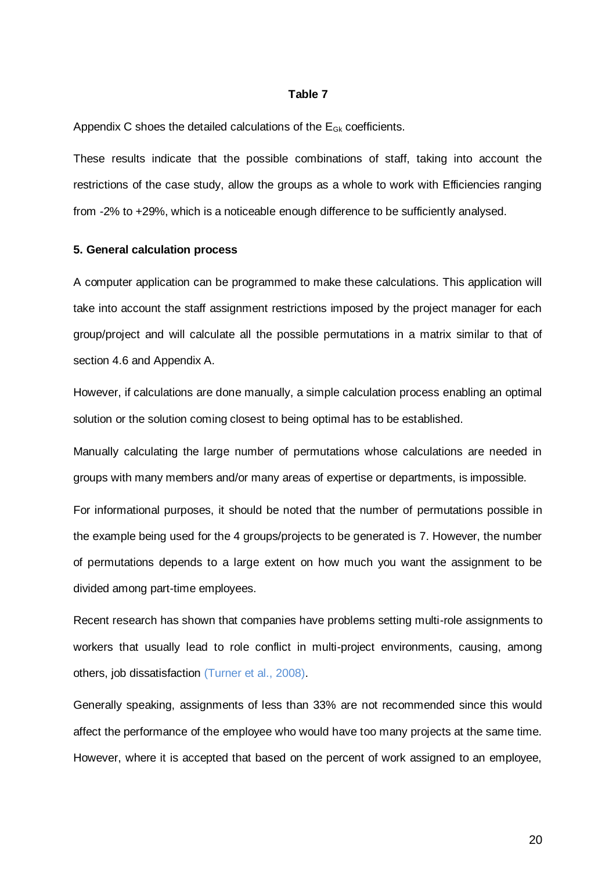#### **Table 7**

Appendix C shoes the detailed calculations of the  $E_{Gk}$  coefficients.

These results indicate that the possible combinations of staff, taking into account the restrictions of the case study, allow the groups as a whole to work with Efficiencies ranging from -2% to +29%, which is a noticeable enough difference to be sufficiently analysed.

#### **5. General calculation process**

A computer application can be programmed to make these calculations. This application will take into account the staff assignment restrictions imposed by the project manager for each group/project and will calculate all the possible permutations in a matrix similar to that of section 4.6 and Appendix A.

However, if calculations are done manually, a simple calculation process enabling an optimal solution or the solution coming closest to being optimal has to be established.

Manually calculating the large number of permutations whose calculations are needed in groups with many members and/or many areas of expertise or departments, is impossible.

For informational purposes, it should be noted that the number of permutations possible in the example being used for the 4 groups/projects to be generated is 7. However, the number of permutations depends to a large extent on how much you want the assignment to be divided among part-time employees.

Recent research has shown that companies have problems setting multi-role assignments to workers that usually lead to role conflict in multi-project environments, causing, among others, job dissatisfaction (Turner et al., 2008).

Generally speaking, assignments of less than 33% are not recommended since this would affect the performance of the employee who would have too many projects at the same time. However, where it is accepted that based on the percent of work assigned to an employee,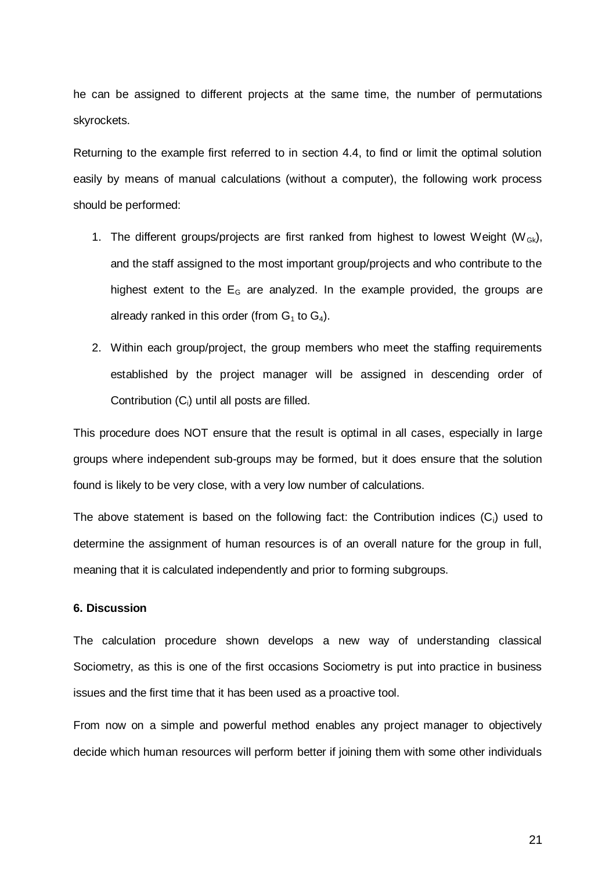he can be assigned to different projects at the same time, the number of permutations skyrockets.

Returning to the example first referred to in section 4.4, to find or limit the optimal solution easily by means of manual calculations (without a computer), the following work process should be performed:

- 1. The different groups/projects are first ranked from highest to lowest Weight ( $W_{Gk}$ ), and the staff assigned to the most important group/projects and who contribute to the highest extent to the  $E<sub>G</sub>$  are analyzed. In the example provided, the groups are already ranked in this order (from  $G_1$  to  $G_4$ ).
- 2. Within each group/project, the group members who meet the staffing requirements established by the project manager will be assigned in descending order of Contribution  $(C_i)$  until all posts are filled.

This procedure does NOT ensure that the result is optimal in all cases, especially in large groups where independent sub-groups may be formed, but it does ensure that the solution found is likely to be very close, with a very low number of calculations.

The above statement is based on the following fact: the Contribution indices  $(C_i)$  used to determine the assignment of human resources is of an overall nature for the group in full, meaning that it is calculated independently and prior to forming subgroups.

# **6. Discussion**

The calculation procedure shown develops a new way of understanding classical Sociometry, as this is one of the first occasions Sociometry is put into practice in business issues and the first time that it has been used as a proactive tool.

From now on a simple and powerful method enables any project manager to objectively decide which human resources will perform better if joining them with some other individuals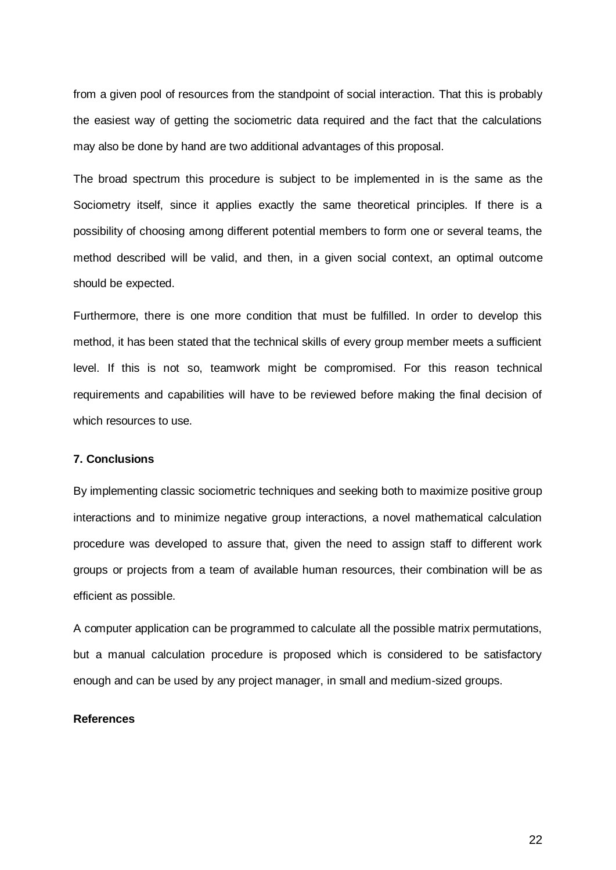from a given pool of resources from the standpoint of social interaction. That this is probably the easiest way of getting the sociometric data required and the fact that the calculations may also be done by hand are two additional advantages of this proposal.

The broad spectrum this procedure is subject to be implemented in is the same as the Sociometry itself, since it applies exactly the same theoretical principles. If there is a possibility of choosing among different potential members to form one or several teams, the method described will be valid, and then, in a given social context, an optimal outcome should be expected.

Furthermore, there is one more condition that must be fulfilled. In order to develop this method, it has been stated that the technical skills of every group member meets a sufficient level. If this is not so, teamwork might be compromised. For this reason technical requirements and capabilities will have to be reviewed before making the final decision of which resources to use.

# **7. Conclusions**

By implementing classic sociometric techniques and seeking both to maximize positive group interactions and to minimize negative group interactions, a novel mathematical calculation procedure was developed to assure that, given the need to assign staff to different work groups or projects from a team of available human resources, their combination will be as efficient as possible.

A computer application can be programmed to calculate all the possible matrix permutations, but a manual calculation procedure is proposed which is considered to be satisfactory enough and can be used by any project manager, in small and medium-sized groups.

### **References**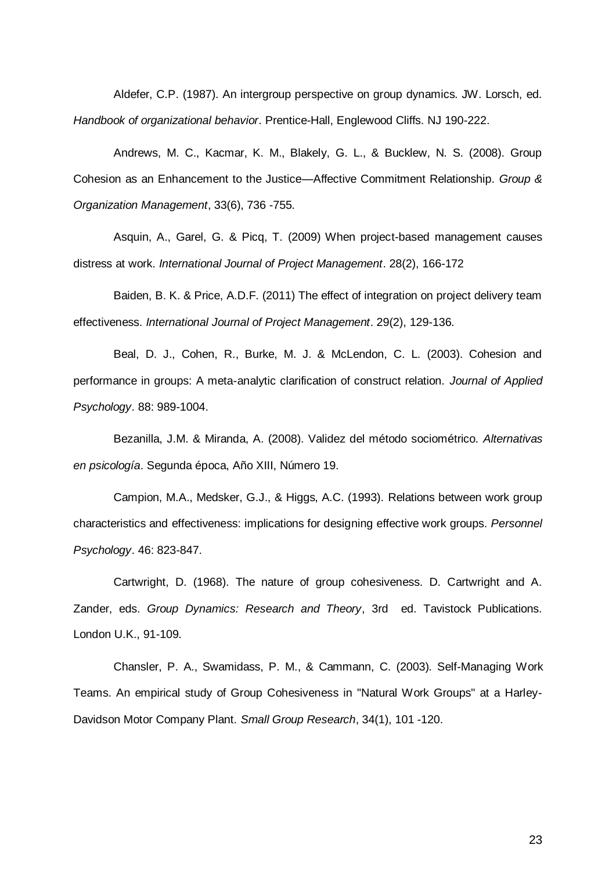Aldefer, C.P. (1987). An intergroup perspective on group dynamics. JW. Lorsch, ed. *Handbook of organizational behavior*. Prentice-Hall, Englewood Cliffs. NJ 190-222.

Andrews, M. C., Kacmar, K. M., Blakely, G. L., & Bucklew, N. S. (2008). Group Cohesion as an Enhancement to the Justice—Affective Commitment Relationship. *Group & Organization Management*, 33(6), 736 -755.

Asquin, A., Garel, G. & Picq, T. (2009) When project-based management causes distress at work. *International Journal of Project Management*. 28(2), 166-172

Baiden, B. K. & Price, A.D.F. (2011) The effect of integration on project delivery team effectiveness. *International Journal of Project Management*. 29(2), 129-136.

Beal, D. J., Cohen, R., Burke, M. J. & McLendon, C. L. (2003). Cohesion and performance in groups: A meta-analytic clarification of construct relation. *Journal of Applied Psychology*. 88: 989-1004.

Bezanilla, J.M. & Miranda, A. (2008). Validez del método sociométrico. *Alternativas en psicología*. Segunda época, Año XIII, Número 19.

Campion, M.A., Medsker, G.J., & Higgs, A.C. (1993). Relations between work group characteristics and effectiveness: implications for designing effective work groups. *Personnel Psychology*. 46: 823-847.

Cartwright, D. (1968). The nature of group cohesiveness. D. Cartwright and A. Zander, eds. *Group Dynamics: Research and Theory*, 3rd ed. Tavistock Publications. London U.K., 91-109.

Chansler, P. A., Swamidass, P. M., & Cammann, C. (2003). Self-Managing Work Teams. An empirical study of Group Cohesiveness in "Natural Work Groups" at a Harley-Davidson Motor Company Plant. *Small Group Research*, 34(1), 101 -120.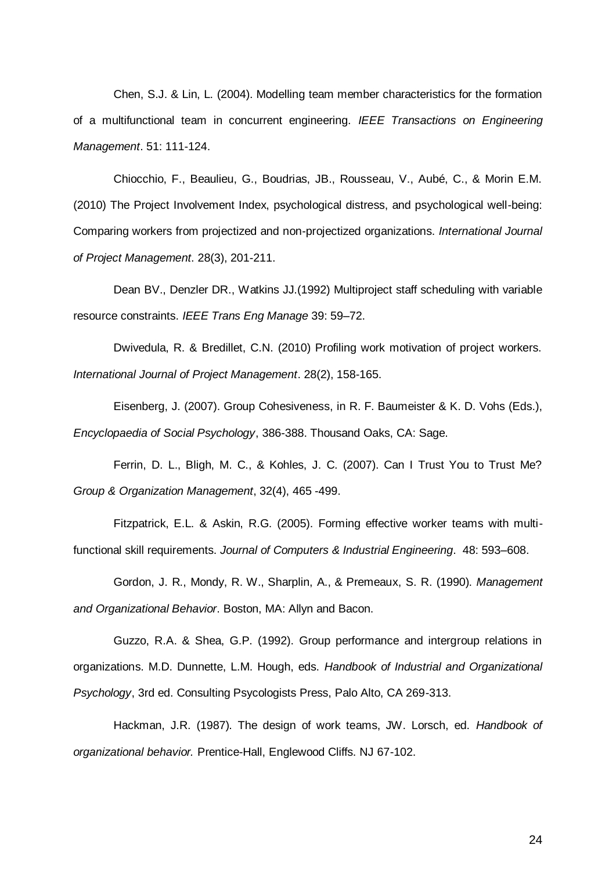Chen, S.J. & Lin, L. (2004). Modelling team member characteristics for the formation of a multifunctional team in concurrent engineering. *IEEE Transactions on Engineering Management*. 51: 111-124.

Chiocchio, F., Beaulieu, G., Boudrias, JB., Rousseau, V., Aubé, C., & Morin E.M. (2010) The Project Involvement Index, psychological distress, and psychological well-being: Comparing workers from projectized and non-projectized organizations. *International Journal of Project Management*. 28(3), 201-211.

Dean BV., Denzler DR., Watkins JJ.(1992) Multiproject staff scheduling with variable resource constraints. *IEEE Trans Eng Manage* 39: 59–72.

Dwivedula, R. & Bredillet, C.N. (2010) Profiling work motivation of project workers. *International Journal of Project Management*. 28(2), 158-165.

Eisenberg, J. (2007). Group Cohesiveness, in R. F. Baumeister & K. D. Vohs (Eds.), *Encyclopaedia of Social Psychology*, 386-388. Thousand Oaks, CA: Sage.

Ferrin, D. L., Bligh, M. C., & Kohles, J. C. (2007). Can I Trust You to Trust Me? *Group & Organization Management*, 32(4), 465 -499.

Fitzpatrick, E.L. & Askin, R.G. (2005). Forming effective worker teams with multifunctional skill requirements. *Journal of Computers & Industrial Engineering*. 48: 593–608.

Gordon, J. R., Mondy, R. W., Sharplin, A., & Premeaux, S. R. (1990). *Management and Organizational Behavior*. Boston, MA: Allyn and Bacon.

Guzzo, R.A. & Shea, G.P. (1992). Group performance and intergroup relations in organizations. M.D. Dunnette, L.M. Hough, eds. *Handbook of Industrial and Organizational Psychology*, 3rd ed. Consulting Psycologists Press, Palo Alto, CA 269-313.

Hackman, J.R. (1987). The design of work teams, JW. Lorsch, ed. *Handbook of organizational behavior.* Prentice-Hall, Englewood Cliffs. NJ 67-102.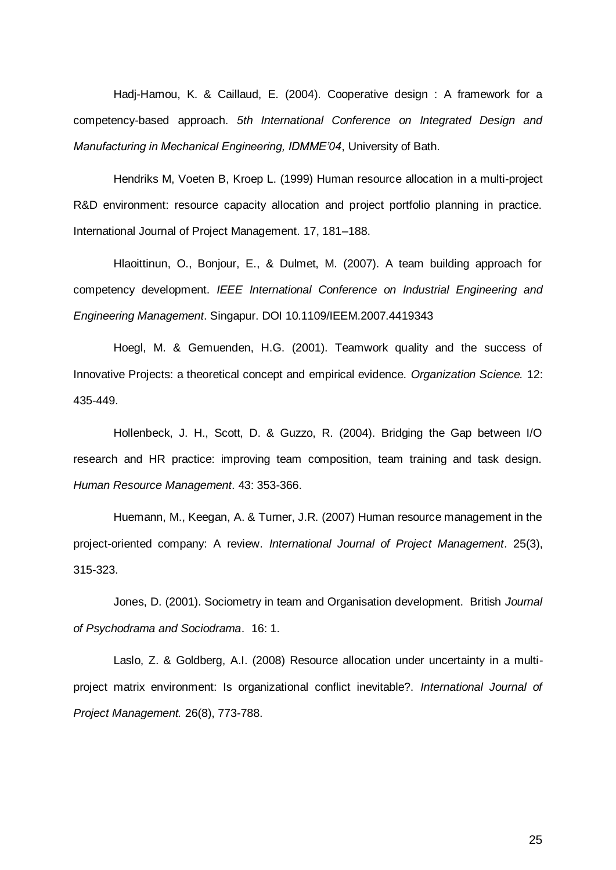Hadj-Hamou, K. & Caillaud, E. (2004). Cooperative design : A framework for a competency-based approach. *5th International Conference on Integrated Design and Manufacturing in Mechanical Engineering, IDMME'04*, University of Bath.

Hendriks M, Voeten B, Kroep L. (1999) Human resource allocation in a multi-project R&D environment: resource capacity allocation and project portfolio planning in practice. International Journal of Project Management. 17, 181–188.

Hlaoittinun, O., Bonjour, E., & Dulmet, M. (2007). A team building approach for competency development. *IEEE International Conference on Industrial Engineering and Engineering Management*. Singapur. DOI 10.1109/IEEM.2007.4419343

Hoegl, M. & Gemuenden, H.G. (2001). Teamwork quality and the success of Innovative Projects: a theoretical concept and empirical evidence. *Organization Science.* 12: 435-449.

Hollenbeck, J. H., Scott, D. & Guzzo, R. (2004). Bridging the Gap between I/O research and HR practice: improving team composition, team training and task design. *Human Resource Management*. 43: 353-366.

Huemann, M., Keegan, A. & Turner, J.R. (2007) Human resource management in the project-oriented company: A review. *International Journal of Project Management*. 25(3), 315-323.

Jones, D. (2001). Sociometry in team and Organisation development. British *Journal of Psychodrama and Sociodrama*. 16: 1.

Laslo, Z. & Goldberg, A.I. (2008) Resource allocation under uncertainty in a multiproject matrix environment: Is organizational conflict inevitable?. *International Journal of Project Management.* 26(8), 773-788.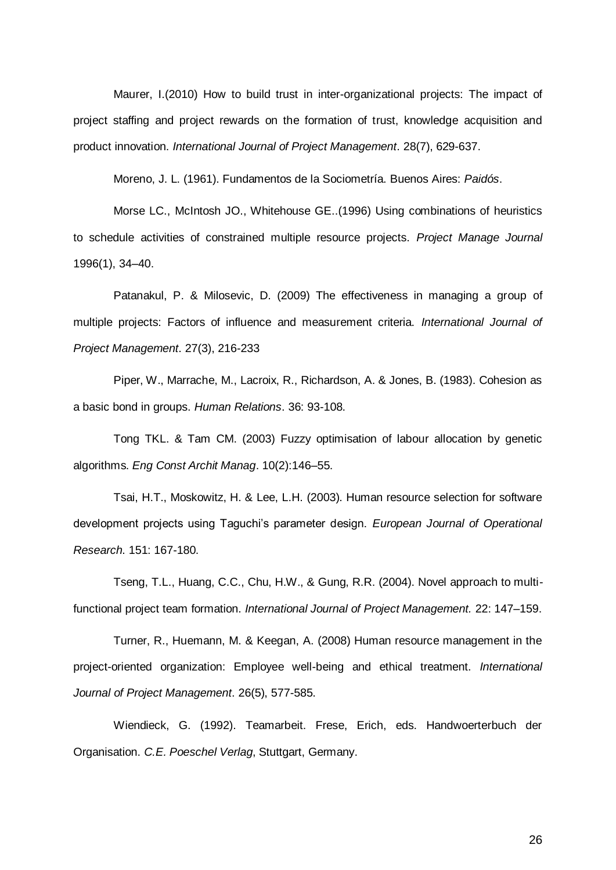Maurer, I.(2010) How to build trust in inter-organizational projects: The impact of project staffing and project rewards on the formation of trust, knowledge acquisition and product innovation. *International Journal of Project Management*. 28(7), 629-637.

Moreno, J. L. (1961). Fundamentos de la Sociometría. Buenos Aires: *Paidós*.

Morse LC., McIntosh JO., Whitehouse GE..(1996) Using combinations of heuristics to schedule activities of constrained multiple resource projects. *Project Manage Journal* 1996(1), 34–40.

Patanakul, P. & Milosevic, D. (2009) The effectiveness in managing a group of multiple projects: Factors of influence and measurement criteria. *International Journal of Project Management*. 27(3), 216-233

Piper, W., Marrache, M., Lacroix, R., Richardson, A. & Jones, B. (1983). Cohesion as a basic bond in groups. *Human Relations*. 36: 93-108.

Tong TKL. & Tam CM. (2003) Fuzzy optimisation of labour allocation by genetic algorithms. *Eng Const Archit Manag*. 10(2):146–55.

Tsai, H.T., Moskowitz, H. & Lee, L.H. (2003). Human resource selection for software development projects using Taguchi's parameter design. *European Journal of Operational Research*. 151: 167-180.

Tseng, T.L., Huang, C.C., Chu, H.W., & Gung, R.R. (2004). Novel approach to multifunctional project team formation. *International Journal of Project Management.* 22: 147–159.

Turner, R., Huemann, M. & Keegan, A. (2008) Human resource management in the project-oriented organization: Employee well-being and ethical treatment. *International Journal of Project Management*. 26(5), 577-585.

Wiendieck, G. (1992). Teamarbeit. Frese, Erich, eds. Handwoerterbuch der Organisation. *C.E. Poeschel Verlag*, Stuttgart, Germany.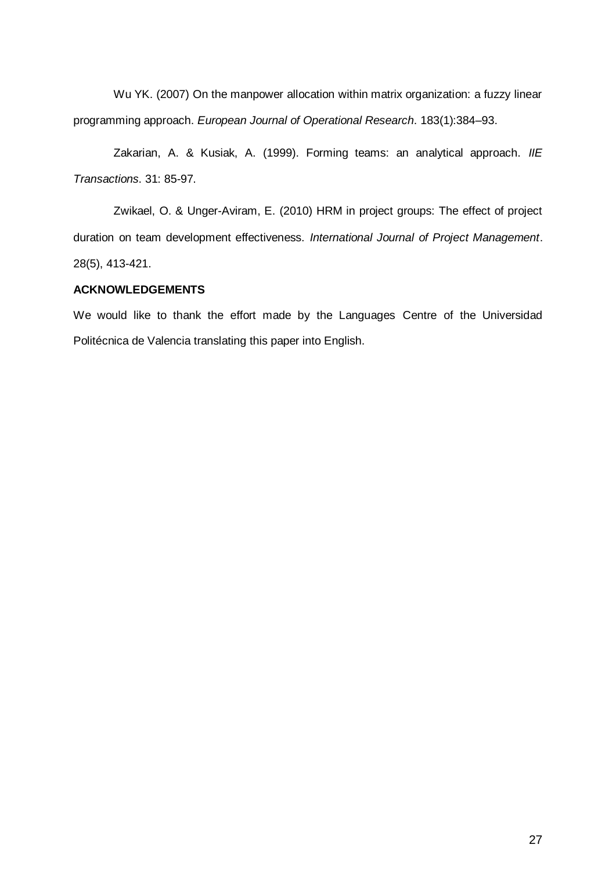Wu YK. (2007) On the manpower allocation within matrix organization: a fuzzy linear programming approach. *European Journal of Operational Research*. 183(1):384–93.

Zakarian, A. & Kusiak, A. (1999). Forming teams: an analytical approach. *IIE Transactions*. 31: 85-97.

Zwikael, O. & Unger-Aviram, E. (2010) HRM in project groups: The effect of project duration on team development effectiveness. *International Journal of Project Management*. 28(5), 413-421.

# **ACKNOWLEDGEMENTS**

We would like to thank the effort made by the Languages Centre of the Universidad Politécnica de Valencia translating this paper into English.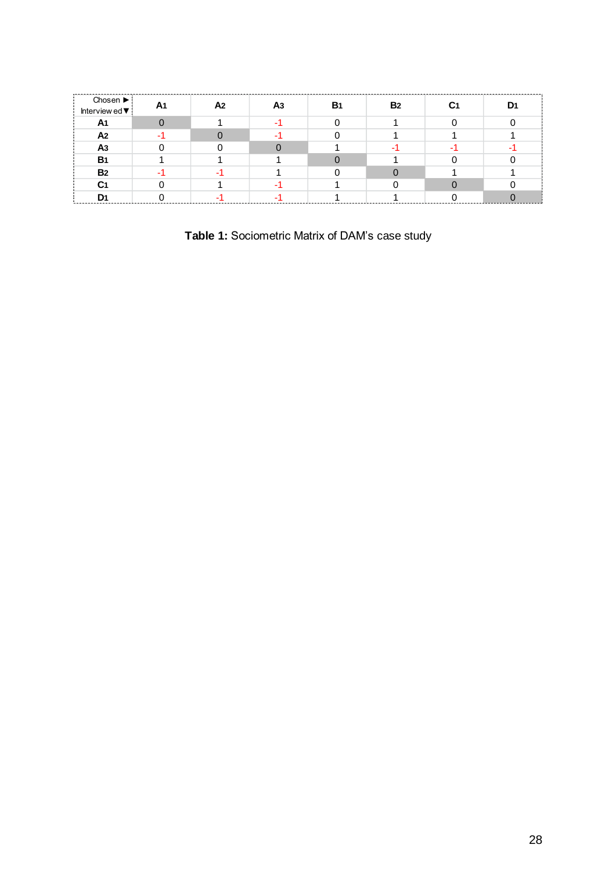| -------<br>Chosen $\blacktriangleright$ |              | A2 | B۰ | <b>B</b> <sub>2</sub> |  |
|-----------------------------------------|--------------|----|----|-----------------------|--|
| Interview ed $\blacktriangledown$       | $\mathbf{a}$ |    |    |                       |  |
| A <sub>1</sub>                          |              |    |    |                       |  |
| A2                                      |              |    |    |                       |  |
| Α3                                      |              |    |    |                       |  |
| <b>B</b> 1                              |              |    |    |                       |  |
| <b>B2</b>                               |              |    |    |                       |  |
| C1                                      |              |    |    |                       |  |
|                                         |              |    |    |                       |  |

**Table 1:** Sociometric Matrix of DAM's case study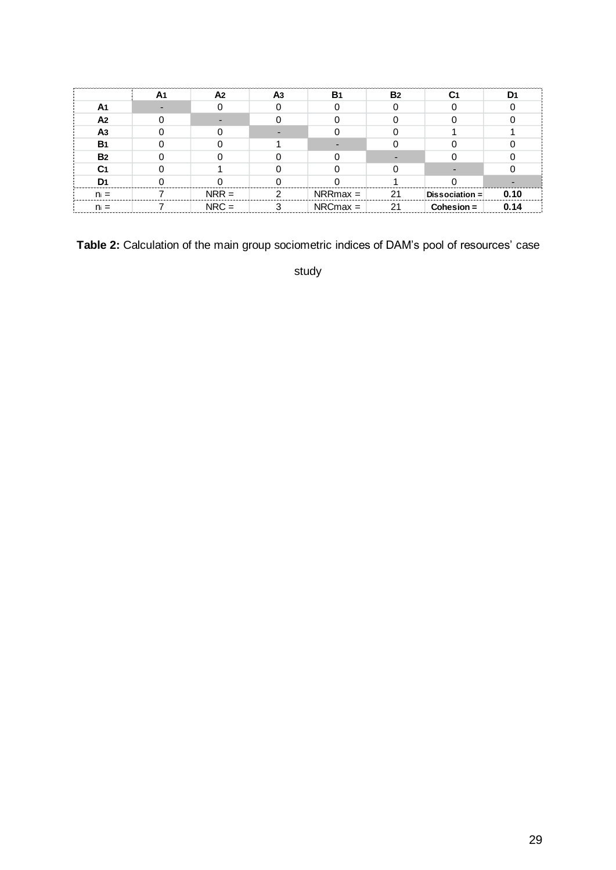|                | A2      | A <sub>3</sub> | <b>B</b> 1 | B <sub>2</sub> |                |      |
|----------------|---------|----------------|------------|----------------|----------------|------|
| А1             |         |                |            |                |                |      |
| A2             |         |                |            |                |                |      |
| A3             |         |                |            |                |                |      |
| <b>B</b> 1     |         |                |            |                |                |      |
| B <sub>2</sub> |         |                |            |                |                |      |
| C1             |         |                |            |                |                |      |
| D۱             |         |                |            |                |                |      |
|                | $NRR =$ |                | $NRRmax =$ | 21             | Dissociation = | 0.10 |
|                | $NRC =$ |                | $NRCmax =$ | 21             | $Cohesion =$   |      |

**Table 2:** Calculation of the main group sociometric indices of DAM's pool of resources' case

study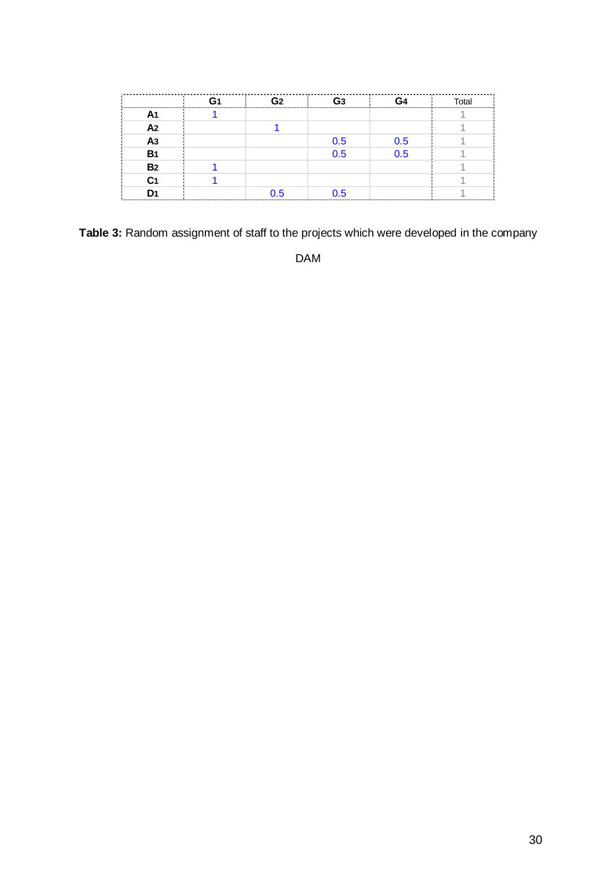|                 | G <sub>2</sub> | G <sub>3</sub> | G4  | Total |
|-----------------|----------------|----------------|-----|-------|
| A <sub>1</sub>  |                |                |     |       |
| A <sub>2</sub>  |                |                |     |       |
| $\overline{A3}$ |                | 0.5            | 0.5 |       |
| <b>B1</b>       |                | 0.5            | 0.5 |       |
| <b>B2</b>       |                |                |     |       |
| C <sub>1</sub>  |                |                |     |       |
| D <sub>1</sub>  | 0.5            | 0.5            |     |       |

**Table 3:** Random assignment of staff to the projects which were developed in the company

DAM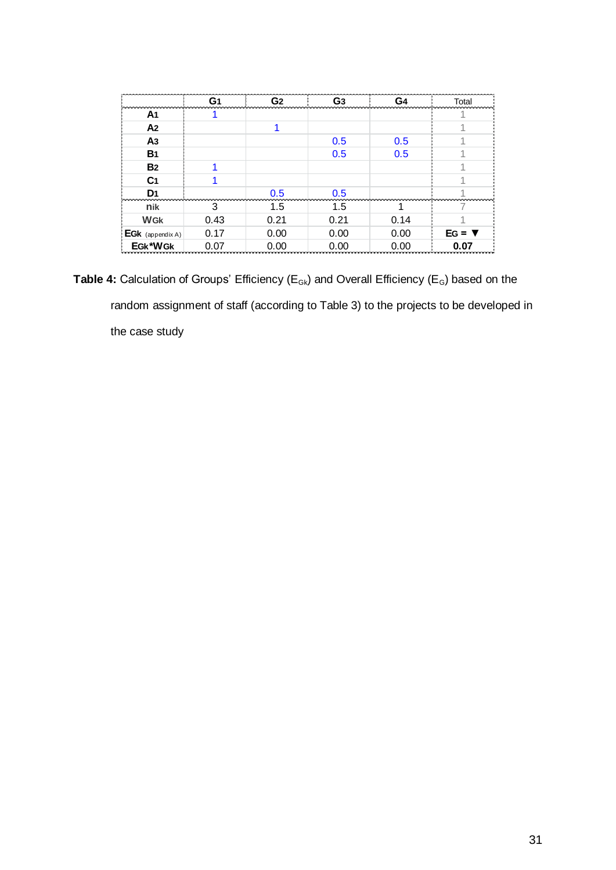|                  | G <sub>1</sub> | G <sub>2</sub> | G <sub>3</sub> | G <sub>4</sub> | Total         |
|------------------|----------------|----------------|----------------|----------------|---------------|
| A <sub>1</sub>   |                |                |                |                |               |
| A <sub>2</sub>   |                |                |                |                |               |
| A <sub>3</sub>   |                |                | 0.5            | 0.5            |               |
| <b>B</b> 1       |                |                | 0.5            | 0.5            |               |
| <b>B2</b>        |                |                |                |                |               |
| C <sub>1</sub>   |                |                |                |                |               |
| D <sub>1</sub>   |                | 0.5            | 0.5            |                |               |
| nik              | 3              | $1.5\,$        | 1.5            |                |               |
| <b>WGK</b>       | 0.43           | 0.21           | 0.21           | 0.14           |               |
| EGK (appendix A) | 0.17           | 0.00           | 0.00           | 0.00           | $EG = \nabla$ |
| EGk*WGk          | 0.07           | 0.00           | 0.00           | 0.00           | 0.07          |

Table 4: Calculation of Groups' Efficiency (E<sub>Gk</sub>) and Overall Efficiency (E<sub>G</sub>) based on the random assignment of staff (according to Table 3) to the projects to be developed in the case study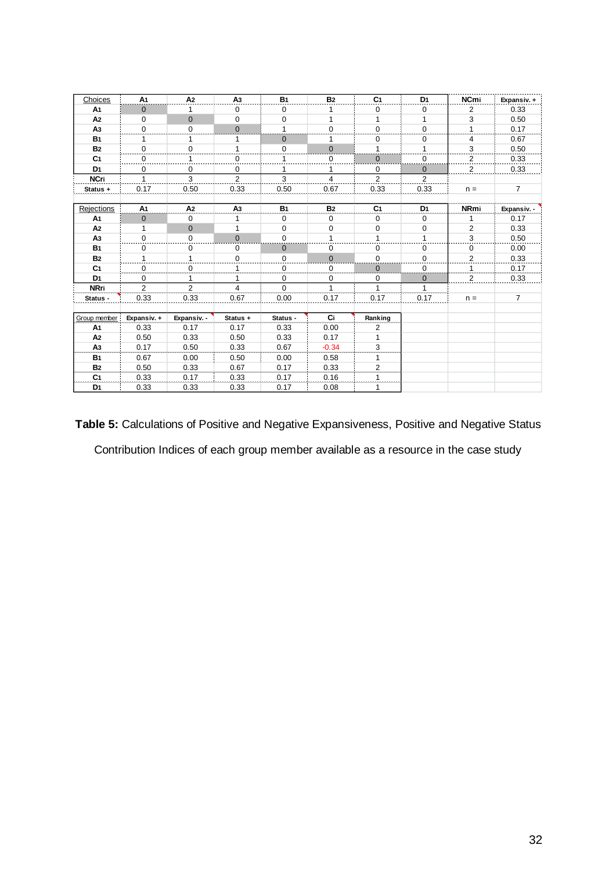| Choices           | A <sub>1</sub> | A2             | A3             | <b>B1</b>    | <b>B2</b>      | C <sub>1</sub> | D <sub>1</sub> | <b>NCmi</b>    | Expansiv. +    |
|-------------------|----------------|----------------|----------------|--------------|----------------|----------------|----------------|----------------|----------------|
| A1                | 0              | 1              | 0              | 0            | 1              | 0              | 0              | 2              | 0.33           |
| A <sub>2</sub>    | 0              | $\mathbf{0}$   | $\mathbf 0$    | 0            | 1              | 1              | 1              | 3              | 0.50           |
| A <sub>3</sub>    | $\mathbf 0$    | $\mathbf 0$    | $\mathbf{0}$   |              | $\mathbf 0$    | $\mathbf 0$    | 0              |                | 0.17           |
| <b>B1</b>         | 1              | 1              | 1              | $\mathbf{0}$ | 1              | 0              | 0              | 4              | 0.67           |
| <b>B2</b>         | 0              | $\mathbf 0$    | $\mathbf{1}$   | 0            | $\overline{0}$ | 1              | 1              | 3              | 0.50           |
| C <sub>1</sub>    | 0              |                | $\overline{0}$ |              | 0              | $\mathbf 0$    | 0              | $\overline{2}$ | 0.33           |
| D <sub>1</sub>    | 0              | $\mathbf 0$    | $\mathbf 0$    |              | 1              | $\mathbf 0$    | $\mathbf 0$    | $\overline{2}$ | 0.33           |
| <b>NCri</b>       | 1              | 3              | 2              | 3            | 4              | 2              | 2              |                |                |
| Status +          | 0.17           | 0.50           | 0.33           | 0.50         | 0.67           | 0.33           | 0.33           | $n =$          | $\overline{7}$ |
|                   |                |                |                |              |                |                |                |                |                |
| <b>Rejections</b> | A <sub>1</sub> | A <sub>2</sub> | A <sub>3</sub> | <b>B1</b>    | <b>B2</b>      | C <sub>1</sub> | D <sub>1</sub> | <b>NRmi</b>    | Expansiv.      |
| A <sub>1</sub>    | $\mathbf{0}$   | $\mathbf 0$    | 1              | $\mathbf 0$  | 0              | $\mathbf 0$    | $\mathbf 0$    |                | 0.17           |
| A <sub>2</sub>    | 1              | $\mathbf{0}$   | 1              | $\mathbf 0$  | 0              | 0              | 0              | $\overline{c}$ | 0.33           |
| A <sub>3</sub>    | $\mathbf 0$    | $\mathbf 0$    | $\mathbf{0}$   | $\mathbf 0$  | $\mathbf{1}$   | $\mathbf{1}$   | 1              | 3              | 0.50           |
| <b>B1</b>         | 0              | 0              | 0              | $\mathbf 0$  | 0              | $\mathbf 0$    | 0              | 0              | 0.00           |
| <b>B2</b>         | 1              | 1              | 0              | 0            | $\mathbf 0$    | 0              | 0              | $\overline{2}$ | 0.33           |
| C <sub>1</sub>    | 0              | $\Omega$       | 1              | $\Omega$     | $\mathbf 0$    | $\Omega$       | 0              |                | 0.17           |
| D <sub>1</sub>    | 0              |                | 1              | 0            | 0              | 0              | 0              | $\overline{2}$ | 0.33           |
| <b>NRri</b>       | $\overline{2}$ | 2              | $\overline{4}$ | $\Omega$     | $\mathbf{1}$   | $\mathbf{1}$   | 1              |                |                |
| Status -          | 0.33           | 0.33           | 0.67           | 0.00         | 0.17           | 0.17           | 0.17           | $n =$          | $\overline{7}$ |
|                   |                |                |                |              |                |                |                |                |                |
| Group member      | Expansiv. +    | Expansiv. -    | Status +       | Status -     | Ci             | Ranking        |                |                |                |
| A <sub>1</sub>    | 0.33           | 0.17           | 0.17           | 0.33         | 0.00           | 2              |                |                |                |
| A <sub>2</sub>    | 0.50           | 0.33           | 0.50           | 0.33         | 0.17           | 1              |                |                |                |
| A <sub>3</sub>    | 0.17           | 0.50           | 0.33           | 0.67         | $-0.34$        | 3              |                |                |                |
| <b>B1</b>         | 0.67           | 0.00           | 0.50           | 0.00         | 0.58           | 1              |                |                |                |
| <b>B2</b>         | 0.50           | 0.33           | 0.67           | 0.17         | 0.33           | 2              |                |                |                |
| C <sub>1</sub>    | 0.33           | 0.17           | 0.33           | 0.17         | 0.16           |                |                |                |                |
| D1                | 0.33           | 0.33           | 0.33           | 0.17         | 0.08           |                |                |                |                |

**Table 5:** Calculations of Positive and Negative Expansiveness, Positive and Negative Status Contribution Indices of each group member available as a resource in the case study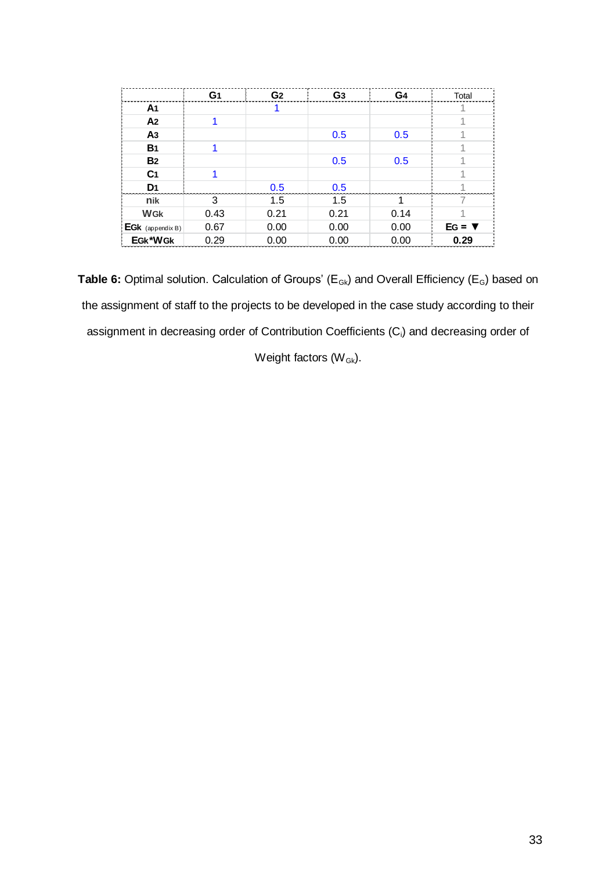|                  | G1   | G <sub>2</sub> | G <sub>3</sub> | G <sub>4</sub> | Total         |
|------------------|------|----------------|----------------|----------------|---------------|
| A <sub>1</sub>   |      |                |                |                |               |
| A <sub>2</sub>   |      |                |                |                |               |
| A <sub>3</sub>   |      |                | 0.5            | 0.5            |               |
| <b>B</b> 1       |      |                |                |                |               |
| <b>B2</b>        |      |                | 0.5            | 0.5            |               |
| C <sub>1</sub>   | 1    |                |                |                |               |
| D <sub>1</sub>   |      | 0.5            | 0.5            |                |               |
| nik              | 3    | 1.5            | 1.5            | 1              |               |
| <b>WGK</b>       | 0.43 | 0.21           | 0.21           | 0.14           |               |
| EGk (appendix B) | 0.67 | 0.00           | 0.00           | 0.00           | $EG = \nabla$ |
| EGk*WGk          | 0.29 | 0.00           | 0.00           | 0.00           | 0.29          |

Table 6: Optimal solution. Calculation of Groups' (E<sub>Gk</sub>) and Overall Efficiency (E<sub>G</sub>) based on the assignment of staff to the projects to be developed in the case study according to their assignment in decreasing order of Contribution Coefficients (Ci) and decreasing order of

Weight factors  $(W_{Gk})$ .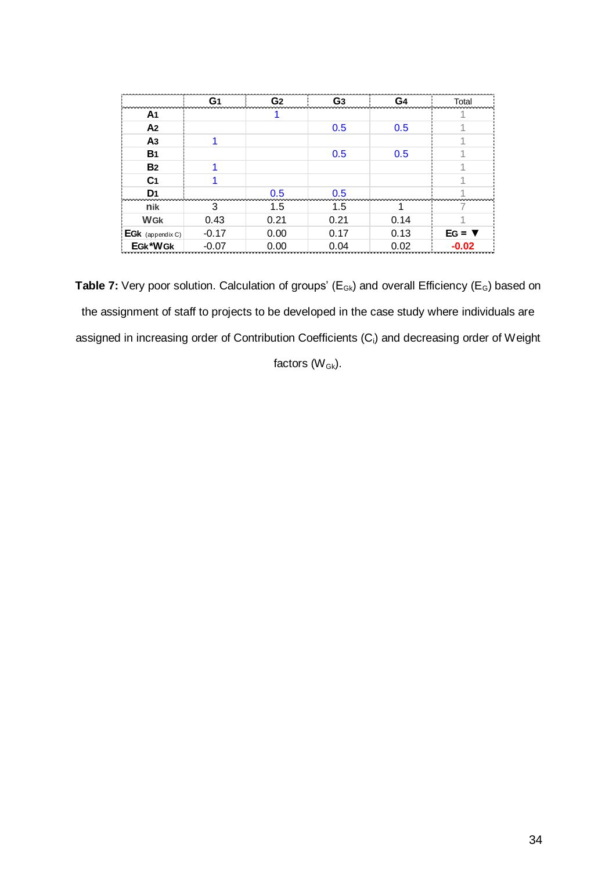|                  | G <sub>1</sub> | G <sub>2</sub> | G <sub>3</sub> | G4   | Total         |
|------------------|----------------|----------------|----------------|------|---------------|
| A <sub>1</sub>   |                |                |                |      |               |
| A <sub>2</sub>   |                |                | 0.5            | 0.5  |               |
| A <sub>3</sub>   |                |                |                |      |               |
| <b>B</b> 1       |                |                | 0.5            | 0.5  |               |
| <b>B2</b>        |                |                |                |      |               |
| C <sub>1</sub>   |                |                |                |      |               |
| D <sub>1</sub>   |                | 0.5            | 0.5            |      |               |
| nik              | 3              | 1.5            | 1.5            | 1    |               |
| <b>WGK</b>       | 0.43           | 0.21           | 0.21           | 0.14 |               |
| EGk (appendix C) | $-0.17$        | 0.00           | 0.17           | 0.13 | $EG = \nabla$ |
| EGk*WGk          | $-0.07$        | 0.00           | 0.04           | 0.02 | $-0.02$       |

Table 7: Very poor solution. Calculation of groups' (E<sub>Gk</sub>) and overall Efficiency (E<sub>G</sub>) based on the assignment of staff to projects to be developed in the case study where individuals are assigned in increasing order of Contribution Coefficients (C<sub>i</sub>) and decreasing order of Weight

factors  $(W_{Gk})$ .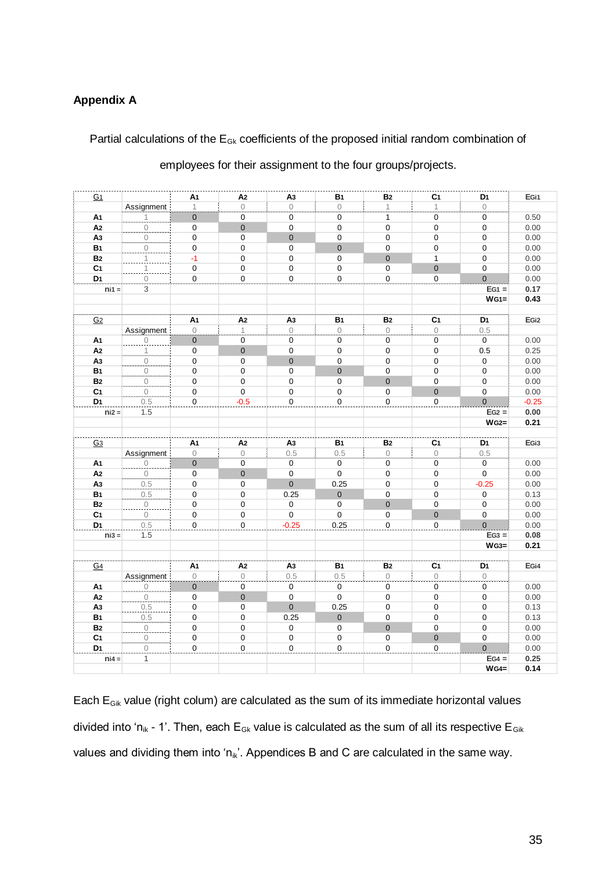# **Appendix A**

# Partial calculations of the  $E_{Gk}$  coefficients of the proposed initial random combination of

| employees for their assignment to the four groups/projects. |  |  |
|-------------------------------------------------------------|--|--|
|                                                             |  |  |

| G <sub>1</sub> |                                       | А1               | A2                    | A3                  | <b>B</b> 1            | <b>B2</b>        | C <sub>1</sub>        | D1             | EG <sub>i1</sub> |
|----------------|---------------------------------------|------------------|-----------------------|---------------------|-----------------------|------------------|-----------------------|----------------|------------------|
|                | Assignment                            | $\mathbf{1}$     | $\Omega$              | $\Omega$            | $\circ$               | $\mathbf{1}$     | $\mathbf{1}$          | $\circ$        |                  |
| A1             |                                       | $\pmb{0}$        | $\mathsf 0$           | 0                   | 0                     | $\mathbf{1}$     | $\pmb{0}$             | $\mathbf 0$    | 0.50             |
| A <sub>2</sub> | $\begin{array}{c} 0 \\ 0 \end{array}$ | $\mathbf 0$      | $\mathbf 0$           | $\mathbf 0$         | 0                     | $\mathbf 0$      | $\mathbf 0$           | $\mathbf 0$    | 0.00             |
| A <sub>3</sub> | $\frac{0}{2}$                         | $\mathbf 0$      | $\mathsf 0$           | $\mathbf 0$         | 0                     | $\mathbf 0$      | $\pmb{0}$             | $\mathbf 0$    | 0.00             |
| <b>B1</b>      | $\mathcal O$                          | $\mathbf 0$      | $\mathsf 0$           | $\mathbf 0$         | $\overline{0}$        | $\mathbf 0$      | $\mathbf 0$           | $\mathbf 0$    | 0.00             |
| <b>B2</b>      | 1                                     | $-1$             | $\mathsf 0$           | 0                   | 0                     | $\mathbf{0}$     | 1                     | $\mathbf 0$    | 0.00             |
| C <sub>1</sub> | $\overline{1}$                        | $\mathbf 0$      | $\pmb{0}$             | 0                   | 0                     | $\mathbf 0$      | $\pmb{0}$             | $\mathbf 0$    | 0.00             |
| D <sub>1</sub> | $\overline{0}$ .                      | $\mathbf 0$      | $\overline{0}$        | 0                   | 0                     | $\mathbf 0$      | $\overline{0}$        | $\mathbf 0$    | 0.00             |
| $ni1 =$        | 3                                     |                  |                       |                     |                       |                  |                       | $EG1 =$        | 0.17             |
|                |                                       |                  |                       |                     |                       |                  |                       | $WG1 =$        | 0.43             |
|                |                                       |                  |                       |                     |                       |                  |                       |                |                  |
| G <sub>2</sub> |                                       | А1               | A2                    | A <sub>3</sub>      | B <sub>1</sub>        | ${\bf B2}$       | C <sub>1</sub>        | D1             | EGi <sub>2</sub> |
|                | Assignment                            | $\circ$          | 1                     | 0                   | 0                     | $\circ$          | 0                     | 0.5            |                  |
| A1             | $\bigcirc$                            | $\mathbf 0$      | 0                     | $\boldsymbol{0}$    | 0                     | $\mathbf 0$      | $\mathbf 0$           | $\mathbf 0$    | 0.00             |
| A2             | $\mathbf 1$                           | $\boldsymbol{0}$ | $\mathbf 0$           | 0                   | 0                     | $\boldsymbol{0}$ | $\mathbf 0$           | 0.5            | 0.25             |
| A <sub>3</sub> | $\overline{0}$                        | $\pmb{0}$        | $\mathbf 0$           | $\mathbf 0$         | 0                     | $\pmb{0}$        | $\mathbf 0$           | 0              | 0.00             |
| <b>B1</b>      | $\circ$                               | 0                | $\mathbf 0$           | $\mathbf 0$         | $\mathbf 0$           | $\pmb{0}$        | $\mathbf 0$           | $\mathbf 0$    | 0.00             |
| <b>B2</b>      | $\mathbf 0$                           | $\boldsymbol{0}$ | $\mathbf 0$           | 0                   | 0                     | $\mathbf 0$      | $\mathbf 0$           | $\pmb{0}$      | 0.00             |
| C <sub>1</sub> | $\circ$                               | 0                | $\overline{\text{o}}$ | 0                   | 0                     | $\mathbf 0$      | $\pmb{0}$             | 0              | 0.00             |
| D <sub>1</sub> | 0.5                                   | $\pmb{0}$        | $-0.5$                | $\boldsymbol{0}$    | $\overline{0}$        | $\pmb{0}$        | $\overline{0}$        | $\overline{0}$ | $-0.25$          |
| $niz =$        | 1.5                                   |                  |                       |                     |                       |                  |                       | $EG2 =$        | 0.00             |
|                |                                       |                  |                       |                     |                       |                  |                       | $WG2=$         | 0.21             |
| G <sub>3</sub> |                                       | A1               | A2                    | A <sub>3</sub>      | <b>B</b> 1            | <b>B2</b>        | C <sub>1</sub>        | D <sub>1</sub> | EG <sub>i3</sub> |
|                | Assignment                            | $\circ$          | $\mathbb O$           | 0.5                 | 0.5                   | $\circ$          | $\mathbf 0$           | 0.5            |                  |
| А1             | $\begin{matrix} 0 \end{matrix}$       | $\overline{0}$   | $\overline{0}$        | $\overline{0}$      | 0                     | $\pmb{0}$        | $\overline{0}$        | $\mathbf 0$    | 0.00             |
| A <sub>2</sub> | $\circ$                               | $\mathbf 0$      | $\mathbf 0$           | 0                   | $\mathsf 0$           | $\mathbf 0$      | $\mathbf 0$           | $\mathsf 0$    | 0.00             |
| Αз             | $0.5\,$                               | $\mathbf 0$      | $\mathbf 0$           | $\pmb{0}$           | 0.25                  | $\pmb{0}$        | $\mathbf 0$           | $-0.25$        | 0.00             |
| <b>B1</b>      | 0.5                                   | 0                | $\pmb{0}$             | 0.25                | $\overline{0}$        | $\pmb{0}$        | 0                     | $\mathbf 0$    | 0.13             |
| <b>B2</b>      |                                       | 0                | 0                     | 0                   | 0                     | $\mathbf 0$      | 0                     | 0              | 0.00             |
| C <sub>1</sub> | $\frac{0}{0}$                         | $\pmb{0}$        | $\pmb{0}$             | $\mathbf 0$         | 0                     | $\mathbf 0$      | $\pmb{0}$             | 0              | 0.00             |
| D <sub>1</sub> | 0.5                                   | $\boldsymbol{0}$ | $\mathbf 0$           | $-0.25$             | 0.25                  | $\pmb{0}$        | $\overline{\text{o}}$ | $\overline{0}$ | 0.00             |
| $ni3 =$        | 1.5                                   |                  |                       |                     |                       |                  |                       | $EG3 =$        | 0.08             |
|                |                                       |                  |                       |                     |                       |                  |                       | $WG3=$         | 0.21             |
|                |                                       |                  |                       |                     |                       |                  |                       |                |                  |
| G <sub>4</sub> |                                       | A1               | A <sub>2</sub>        | A <sub>3</sub>      | B <sub>1</sub>        | ${\bf B2}$       | C <sub>1</sub>        | D1             | EGi4             |
|                | Assignment                            | $\mathsf{O}$     | $\overline{0}$        | 0.5                 | 0.5                   | $\overline{0}$   | $\mathsf{O}$          | $\mathsf O$    |                  |
| A1             | $\mathcal O$                          | $\mathbf 0$      | $\pmb{0}$             | $\mathbf 0$         | $\mathsf 0$           | 0                | $\mathbf 0$           | 0              | 0.00             |
| A <sub>2</sub> | $\frac{0}{2}$                         | $\mathbf 0$      | $\pmb{0}$             | $\mathsf{O}\xspace$ | $\pmb{0}$             | $\pmb{0}$        | $\mathbf 0$           | $\mathbf 0$    | 0.00             |
| A <sub>3</sub> | 0.5                                   | $\mathbf 0$      | 0                     | $\overline{0}$      | 0.25                  | $\boldsymbol{0}$ | $\mathbf 0$           | 0              | 0.13             |
| <b>B1</b>      | 0.5                                   | $\mathbf 0$      | 0                     | 0.25                | $\overline{0}$        | $\pmb{0}$        | 0                     | 0              | 0.13             |
| <b>B2</b>      | $\overline{0}$                        | $\mathbf 0$      | $\pmb{0}$             | $\mathbf 0$         | 0                     | $\mathbf{0}$     | $\mathbf 0$           | $\mathbf 0$    | 0.00             |
| C <sub>1</sub> | $\begin{array}{c} 0 \end{array}$      | $\pmb{0}$        | $\mathbf 0$           | 0                   | $\mathbf 0$           | $\pmb{0}$        | $\pmb{0}$             | $\pmb{0}$      | 0.00             |
| D <sub>1</sub> | $\overline{0}$                        | $\pmb{0}$        | $\pmb{0}$             | 0                   | $\overline{\text{o}}$ | $\mathbf 0$      | $\overline{\text{o}}$ | $\overline{0}$ | 0.00             |
| $ni4 =$        | $\mathbf{1}$                          |                  |                       |                     |                       |                  |                       | $EG4 =$        | 0.25             |
|                |                                       |                  |                       |                     |                       |                  |                       | $WG4=$         | 0.14             |

Each  $E_{Gik}$  value (right colum) are calculated as the sum of its immediate horizontal values divided into 'n<sub>ik</sub> - 1'. Then, each E<sub>Gk</sub> value is calculated as the sum of all its respective E<sub>Gik</sub> values and dividing them into ' $n_{ik}$ '. Appendices B and C are calculated in the same way.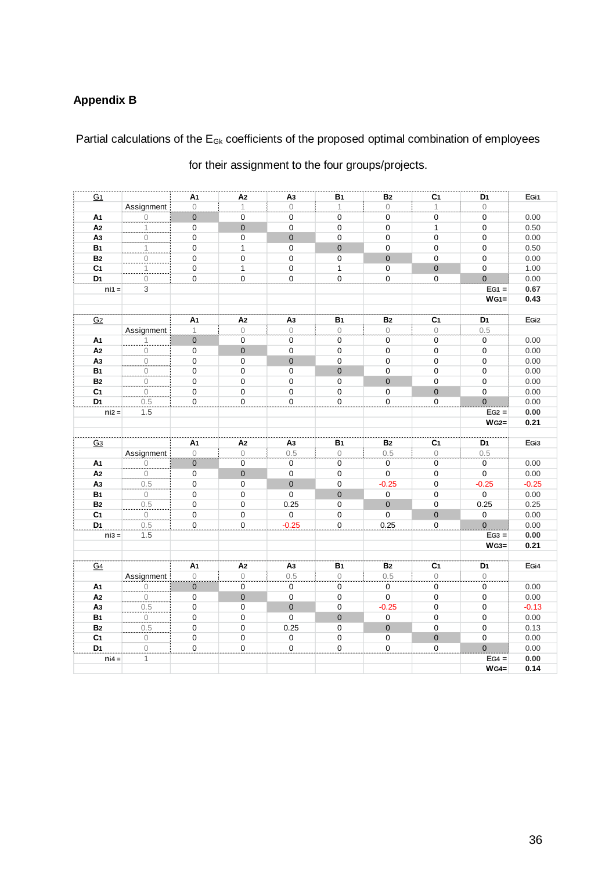# **Appendix B**

Partial calculations of the  $E_{Gk}$  coefficients of the proposed optimal combination of employees

| G <sub>1</sub> |                                       | A1               | A2                    | A <sub>3</sub>      | <b>B</b> 1     | <b>B2</b>      | C <sub>1</sub>        | D <sub>1</sub>   | EGi1              |
|----------------|---------------------------------------|------------------|-----------------------|---------------------|----------------|----------------|-----------------------|------------------|-------------------|
|                | Assignment                            | $\overline{0}$   | $\mathbf 1$           | $\circ$             | $\mathbf{1}$   | $\mathbf 0$    | 1                     | $\circ$          |                   |
| A1             | $\frac{0}{\sqrt{2}}$                  | $\overline{0}$   | 0                     | 0                   | 0              | $\pmb{0}$      | $\pmb{0}$             | 0                | 0.00              |
| A <sub>2</sub> | 1                                     | $\boldsymbol{0}$ | $\mathbf 0$           | $\mathbf 0$         | $\mathbf 0$    | $\mathbf 0$    | $\mathbf{1}$          | $\mathbf 0$      | 0.50              |
| A <sub>3</sub> | $\overline{0}$                        | $\mathbf 0$      | 0                     | $\mathbf{0}$        | $\mathbf 0$    | $\mathbf 0$    | 0                     | $\mathbf 0$      | 0.00              |
| <b>B1</b>      | 1                                     | 0                | $\mathbf{1}$          | $\mathbf 0$         | $\Omega$       | $\mathbf 0$    | $\mathbf 0$           | $\mathbf 0$      | 0.50              |
| <b>B2</b>      | $\frac{0}{2}$                         | 0                | $\mathbf 0$           | $\Omega$            | $\mathbf 0$    | $\Omega$       | $\mathbf 0$           | $\Omega$         | 0.00              |
| C <sub>1</sub> | 1                                     | $\mathbf 0$      | $\mathbf{1}$          | 0                   | $\mathbf{1}$   | $\pmb{0}$      | $\mathbf 0$           | $\mathbf 0$      | 1.00              |
| D <sub>1</sub> | $\overline{0}$                        | $\pmb{0}$        | $\overline{\text{o}}$ | 0                   | $\mathbf 0$    | $\pmb{0}$      | $\overline{0}$        | $\mathbf{0}$     | 0.00              |
| $ni1 =$        | 3                                     |                  |                       |                     |                |                |                       | $EG1 =$          | 0.67              |
|                |                                       |                  |                       |                     |                |                |                       | $WG1 =$          | 0.43              |
|                |                                       |                  |                       |                     |                |                |                       |                  |                   |
| G <sub>2</sub> |                                       | A1               | A2                    | A3                  | <b>B1</b>      | <b>B2</b>      | C <sub>1</sub>        | D <sub>1</sub>   | EG <sub>i2</sub>  |
|                | Assignment                            | $\mathbf{1}$     | $\circ$               | $\Omega$            | $\circ$        | $\mathbf{O}$   | $\circ$               | 0.5              |                   |
| A1             | $\frac{1}{0}$                         | $\pmb{0}$        | 0                     | 0                   | 0              | $\pmb{0}$      | 0                     | $\mathbf 0$      | 0.00              |
| A <sub>2</sub> |                                       | $\mathbf 0$      | $\mathbf{0}$          | 0                   | 0              | $\pmb{0}$      | $\boldsymbol{0}$      | $\boldsymbol{0}$ | 0.00              |
| A <sub>3</sub> | $\overline{0}$                        | $\mathbf 0$      | 0                     | $\mathbf 0$         | $\mathbf 0$    | $\mathbf 0$    | 0                     | $\mathbf 0$      | 0.00              |
| <b>B1</b>      | $\circ$                               | $\mathbf 0$      | $\mathbf 0$           | $\mathbf 0$         | $\overline{0}$ | $\pmb{0}$      | $\mathbf 0$           | $\mathbf 0$      | 0.00              |
| <b>B2</b>      | $\overline{0}$                        | $\mathbf 0$      | 0                     | $\mathbf 0$         | $\mathbf 0$    | $\Omega$       | $\mathbf 0$           | $\Omega$         | 0.00              |
| C <sub>1</sub> | $\circ$                               | $\mathbf 0$      | $\mathbf 0$           | 0                   | $\mathbf 0$    | $\mathbf 0$    | $\mathbf{0}$          | $\mathbf 0$      | 0.00              |
| D <sub>1</sub> | 0.5                                   | $\mathbf 0$      | $\mathbf 0$           | $\Omega$            | $\mathbf 0$    | $\mathbf 0$    | $\mathbf 0$           | $\overline{0}$   | 0.00              |
| $niz =$        | 1.5                                   |                  |                       |                     |                |                |                       | $EG2 =$          | 0.00              |
|                |                                       |                  |                       |                     |                |                |                       | $WG2=$           | 0.21              |
| G <sub>3</sub> |                                       | A1               | A2                    | A <sub>3</sub>      | B <sub>1</sub> | <b>B2</b>      | C <sub>1</sub>        | D <sub>1</sub>   | EG <sub>i</sub> 3 |
|                | Assignment                            | $\overline{0}$   | $\circ$               | 0.5                 | $\mathbf 0$    | 0.5            | $\circ$               | 0.5              |                   |
| A1             | $\begin{matrix} 0 \end{matrix}$       | $\overline{0}$   | 0                     | 0                   | 0              | 0              | $\pmb{0}$             | $\mathbf 0$      | 0.00              |
| A <sub>2</sub> | $\circ$                               | $\mathbf 0$      | $\mathbf 0$           | $\mathbf 0$         | $\mathbf 0$    | 0              | $\mathbf 0$           | $\mathbf 0$      | 0.00              |
| A3             | 0.5                                   | $\mathbf 0$      | 0                     | $\mathbf{0}$        | $\mathbf 0$    | $-0.25$        | 0                     | $-0.25$          | $-0.25$           |
| <b>B1</b>      | $\begin{matrix} 0 \end{matrix}$       | $\boldsymbol{0}$ | 0                     | $\mathbf 0$         | $\mathbf{0}$   | 0              | 0                     | $\mathbf 0$      | 0.00              |
| <b>B2</b>      | 0.5                                   | $\pmb{0}$        | $\pmb{0}$             | 0.25                | 0              | $\overline{0}$ | $\mathsf 0$           | 0.25             | 0.25              |
| C <sub>1</sub> | $\mathbf 0$                           | $\pmb{0}$        | $\pmb{0}$             | 0                   | $\pmb{0}$      | $\mathbf 0$    | $\mathbf 0$           | 0                | 0.00              |
| D <sub>1</sub> | 0.5                                   | $\mathbf 0$      | $\overline{0}$        | $-0.25$             | $\pmb{0}$      | 0.25           | $\overline{\text{o}}$ | $\overline{0}$   | 0.00              |
| $\text{ni3} =$ | 1.5                                   |                  |                       |                     |                |                |                       | $EG3 =$          | 0.00              |
|                |                                       |                  |                       |                     |                |                |                       | $WG3=$           | 0.21              |
|                |                                       |                  |                       |                     |                |                |                       |                  |                   |
| G <sub>4</sub> |                                       | A1               | A2                    | A3                  | <b>B</b> 1     | <b>B2</b>      | C <sub>1</sub>        | D <sub>1</sub>   | EGi4              |
|                | Assignment                            | $\overline{0}$   | $\circ$               | 0.5                 | $\circ$        | 0.5            | $\circ$               | $\circ$          |                   |
| A1             | $\begin{array}{c} 0 \\ 0 \end{array}$ | $\mathbf{0}$     | 0                     | $\mathbf 0$         | 0              | 0              | 0                     | $\mathbf 0$      | 0.00              |
| A <sub>2</sub> | $\begin{matrix} 0 \end{matrix}$       | $\mathbf 0$      | $\mathbf 0$           | $\mathbf 0$         | $\mathbf 0$    | $\mathbf 0$    | $\boldsymbol{0}$      | $\mathbf 0$      | 0.00              |
| A3             | 0.5                                   | $\mathbf 0$      | $\mathbf 0$           | $\mathbf{0}$        | $\mathbf 0$    | $-0.25$        | $\mathbf 0$           | $\Omega$         | $-0.13$           |
| <b>B1</b>      | $\frac{0}{2}$                         | $\mathbf 0$      | 0                     | $\mathbf 0$         | $\mathbf{0}$   | $\mathbf 0$    | $\mathbf 0$           | $\mathbf 0$      | 0.00              |
| <b>B2</b>      | 0.5                                   | 0                | 0                     | 0.25                | 0              | $\overline{0}$ | 0                     | $\boldsymbol{0}$ | 0.13              |
| C <sub>1</sub> | $\frac{0}{0}$                         | 0                | 0                     | 0                   | $\pmb{0}$      | 0              | $\pmb{0}$             | $\pmb{0}$        | 0.00              |
| D <sub>1</sub> |                                       | $\pmb{0}$        | $\overline{\text{o}}$ | $\mathsf{O}\xspace$ | 0              | 0              | $\overline{\text{o}}$ | $\mathbf 0$      | 0.00              |
| $ni4 =$        | $\mathbf{1}$                          |                  |                       |                     |                |                |                       | $EG4 =$          | 0.00              |
|                |                                       |                  |                       |                     |                |                |                       | $WG4=$           | 0.14              |

for their assignment to the four groups/projects.